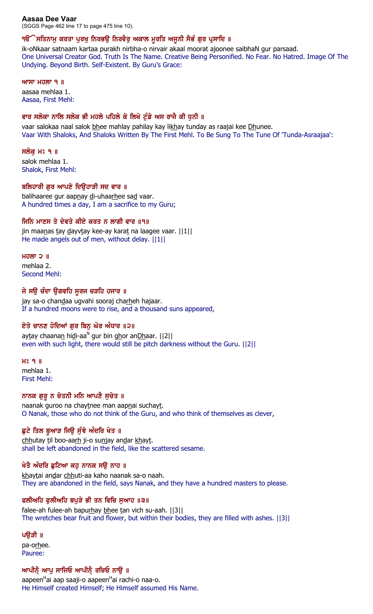### **Aasaa Dee Vaar**

(SGGS Page 462 line 17 to page 475 line 10).

### ੧ੳੱੇ ਸਤਿਨਾਮੁ ਕਰਤਾ ਪੁਰਖੁ ਨਿਰਭਉ ਨਿਰਵੈਰੁ ਅਕਾਲ ਮੁਰਤਿ ਅਜੁਨੀ ਸੈਭੰ ਗੁਰ ਪ੍ਰਸਾਦਿ ॥

ik-oNkaar satnaam kartaa purakh nirbha-o nirvair akaal moorat ajoonee saibhaN gur parsaad. One Universal Creator God. Truth Is The Name. Creative Being Personified. No Fear. No Hatred. Image Of The Undying. Beyond Birth. Self-Existent. By Guru's Grace:

#### ਆਸਾ ਮਹਲਾ  $9$   $\parallel$

aasaa mehlaa 1. Aasaa, First Mehl:

### ਵਾਰ ਸਲੋਕਾ ਨਾਲਿ ਸਲੋਕ ਭੀ ਮਹਲੇ ਪਹਿਲੇ ਕੇ ਲਿਖੇ ਟੁੰਡੇ ਅਸ ਰਾਜੈ ਕੀ ਧੁਨੀ ॥

vaar salokaa naal salok bhee mahlay pahilay kay likhay tunday as raajai kee Dhunee. Vaar With Shaloks, And Shaloks Written By The First Mehl. To Be Sung To The Tune Of 'Tunda-Asraajaa':

### ਸਲੋਕੁ ਮਃ ੧ ॥

salok mehlaa 1. Shalok, First Mehl:

### ਬਲਿਹਾਰੀ ਗਰ ਆਪਣੇ ਦਿੳਹਾੜੀ ਸਦ ਵਾਰ ॥

balihaaree gur aapnay di-uhaarhee sad vaar. A hundred times a day, I am a sacrifice to my Guru;

# ਜਿਨਿ ਮਾਣਸ ਤੇ ਦੇਵਤੇ ਕੀਏ ਕਰਤ ਨ ਲਾਗੀ ਵਾਰ ॥੧॥

jin maanas tay dayvtay kee-ay karat na laagee vaar. ||1|| He made angels out of men, without delay.  $||1||$ 

### ਮਹਲਾ $\supset$   $\parallel$

mehlaa 2. Second Mehl:

### ਜੇ ਸਉ ਚੰਦਾ ਉਗਵਹਿ ਸੁਰਜ ਚੜਹਿ ਹਜਾਰ ॥

jay sa-o chandaa ugvahi sooraj charheh hajaar. If a hundred moons were to rise, and a thousand suns appeared,

# ਏਤੇ ਚਾਨਣ ਹੋਦਿਆਂ ਗੁਰ ਬਿਨੂ ਘੋਰ ਅੰਧਾਰ ॥੨॥

aytay chaana<u>n</u> hidi-aa<sup>n</sup> gur bin ghor anDhaar. [[2]] even with such light, there would still be pitch darkness without the Guru. ||2||

#### $H<sub>3</sub>$   $Q<sub>1</sub>$ mehlaa 1. First Mehl:

# ਨਾਨਕ ਗੁਰੂ ਨ ਚੇਤਨੀ ਮਨਿ ਆਪਣੈ ਸੁਚੇਤ ॥

naanak guroo na chaytnee man aapnai suchayt. O Nanak, those who do not think of the Guru, and who think of themselves as clever,

# ਛੁਟੇ ਤਿਲ ਬੁਆੜ ਜਿਉ ਸੁੰਞੇ ਅੰਦਰਿ ਖੇਤ ॥

chhutay til boo-aarh ji-o sunjay andar khayt. shall be left abandoned in the field, like the scattered sesame.

# ਖੇਤੈ ਅੰਦਰਿ ਛੁਟਿਆ ਕਹੁ ਨਾਨਕ ਸਉ ਨਾਹ ॥

khaytai andar chhuti-aa kaho naanak sa-o naah. They are abandoned in the field, says Nanak, and they have a hundred masters to please.

# ਫਲੀਅਹਿ ਫੁਲੀਅਹਿ ਬਪੁੜੇ ਭੀ ਤਨ ਵਿਚਿ ਸੁਆਹ ॥੩॥

falee-ah fulee-ah bapurhay bhee tan vich su-aah. ||3|| The wretches bear fruit and flower, but within their bodies, they are filled with ashes. ||3||

# ਪਉੜੀ ॥

pa-orhee. Pauree:

# ਆਪੀਨ੍ਹੇ ਆਪੂ ਸਾਜਿਓ ਆਪੀਨ੍ਹੇ ਰਚਿਓ ਨਾਉ ॥

aapeen<sup>H</sup>ai aap saaji-o aapeen<sup>H</sup>ai rachi-o naa-o. He Himself created Himself; He Himself assumed His Name.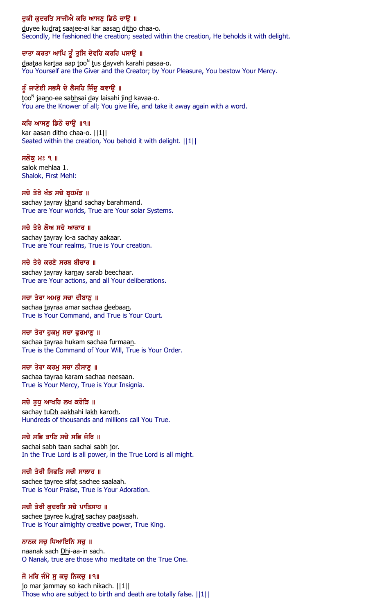# ਦੁਯੀ ਕੁਦਰਤਿ ਸਾਜੀਐ ਕਰਿ ਆਸਣੂ ਡਿਠੋ ਚਾਉ ॥

duyee kudrat saajee-ai kar aasan ditho chaa-o. Secondly, He fashioned the creation; seated within the creation, He beholds it with delight.

### ਦਾਤਾ ਕਰਤਾ ਆਪਿ ਤੂੰ ਤੁਸਿ ਦੇਵਹਿ ਕਰਹਿ ਪਸਾਉ ॥

daataa kartaa aap too<sup>n</sup> tus dayveh karahi pasaa-o. You Yourself are the Giver and the Creator; by Your Pleasure, You bestow Your Mercy.

# ਤੂੰ ਜਾਣੋਈ ਸਭਸੈ ਦੇ ਲੈਸਹਿ ਜਿੰਦੂ ਕਵਾਉ ॥

<u>t</u>oo<sup>n</sup> jaa<u>n</u>o-ee sa<u>bh</u>sai <u>d</u>ay laisahi jin<u>d</u> kavaa-o. You are the Knower of all; You give life, and take it away again with a word.

### ਕਰਿ ਆਸਣ ਡਿਠੋ ਚਾੳ ॥੧॥

kar aasan ditho chaa-o. ||1|| Seated within the creation, You behold it with delight. ||1||

#### ਸਲੱਕ ਮਃ ੧ ॥

salok mehlaa 1. Shalok, First Mehl:

### ਸਚੇ ਤੇਰੇ ਖੰਡ ਸਚੇ ਬ੍ਰਹਮੰਡ ॥

sachay tayray khand sachay barahmand. True are Your worlds, True are Your solar Systems.

### ਸਚੇ ਤੇਰੇ ਲੋਅ ਸਚੇ ਆਕਾਰ ॥

sachay tayray lo-a sachay aakaar. True are Your realms, True is Your creation.

### ਸਚੇ ਤੇਰੇ ਕਰਣੇ ਸਰਬ ਬੀਚਾਰ ॥

sachay tayray karnay sarab beechaar. True are Your actions, and all Your deliberations.

#### ਸਚਾ ਤੇਰਾ ਅਮਰੂ ਸਚਾ ਦੀਬਾਣੂ ॥

sachaa tayraa amar sachaa deebaan. True is Your Command, and True is Your Court.

### ਸਚਾ ਤੇਰਾ ਹੁਕਮੁ ਸਚਾ ਫੁਰਮਾਣੁ ॥

sachaa tayraa hukam sachaa furmaan. True is the Command of Your Will, True is Your Order.

#### ਸਚਾ ਤੇਰਾ ਕਰਮੁ ਸਚਾ ਨੀਸਾਣੁ ॥

sachaa tayraa karam sachaa neesaan. True is Your Mercy, True is Your Insignia.

### ਸਚੇ ਤੁਧੁ ਆਖਹਿ ਲਖ ਕਰੋੜਿ ॥

sachay tuDh aakhahi lakh karorh. Hundreds of thousands and millions call You True.

### ਸਚੈ ਸਭਿ ਤਾਣਿ ਸਚੈ ਸਭਿ ਜੋਰਿ ॥

sachai sabh taan sachai sabh jor. In the True Lord is all power, in the True Lord is all might.

#### ਸਚੀ ਤੇਰੀ ਸਿਫਤਿ ਸਚੀ ਸਾਲਾਹ ॥

sachee tayree sifat sachee saalaah. True is Your Praise, True is Your Adoration.

### ਸਚੀ ਤੇਰੀ ਕੁਦਰਤਿ ਸਚੇ ਪਾਤਿਸਾਹ ॥

sachee tayree kudrat sachay paatisaah. True is Your almighty creative power, True King.

### ਨਾਨਕ ਸਚ ਧਿਆਇਨਿ ਸਚ ॥

naanak sach Dhi-aa-in sach. O Nanak, true are those who meditate on the True One.

### ਜੋ ਮਰਿ ਜੰਮੇ ਸ ਕਚ ਨਿਕਚ ॥੧॥

jo mar jammay so kach nikach. ||1|| Those who are subject to birth and death are totally false. ||1||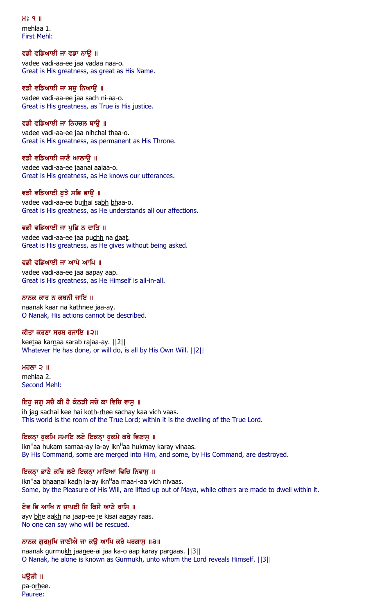$H<sup>3</sup>$  q  $\Pi$ mehlaa 1. First Mehl:

### ਵਡੀ ਵਡਿਆਈ ਜਾ ਵਡਾ ਨਾਉ ॥

vadee vadi-aa-ee jaa vadaa naa-o. Great is His greatness, as great as His Name.

### ਵਡੀ ਵਡਿਆਈ ਜਾ ਸਚ ਨਿਆੳ ॥

vadee vadi-aa-ee jaa sach ni-aa-o. Great is His greatness, as True is His justice.

#### ਵਡੀ ਵਡਿਆਈ ਜਾ ਨਿਹਚਲ ਥਾੳ ॥

vadee vadi-aa-ee jaa nihchal thaa-o. Great is His greatness, as permanent as His Throne.

#### ਵਡੀ ਵਡਿਆਈ ਜਾਣੈ ਆਲਾਉ ॥

vadee vadi-aa-ee jaanai aalaa-o. Great is His greatness, as He knows our utterances.

#### ਵਡੀ ਵਡਿਆਈ ਬੁਝੈ ਸਭਿ ਭਾਉ ॥

vadee vadi-aa-ee bujhai sabh bhaa-o. Great is His greatness, as He understands all our affections.

### ਵਡੀ ਵਡਿਆਈ ਜਾ ਪੁਛਿ ਨ ਦਾਤਿ ॥

vadee vadi-aa-ee jaa puchh na daat. Great is His greatness, as He gives without being asked.

#### ਵਡੀ ਵਡਿਆਈ ਜਾ ਆਪੇ ਆਪਿ ॥

vadee vadi-aa-ee jaa aapay aap. Great is His greatness, as He Himself is all-in-all.

#### ਨਾਨਕ ਕਾਰ ਨ ਕਥਨੀ ਜਾਇ ॥

naanak kaar na kathnee jaa-ay. O Nanak, His actions cannot be described.

#### ਕੀਤਾ ਕਰਣਾ ਸਰਬ ਰਜਾਇ ॥੨॥

keetaa karnaa sarab rajaa-ay. ||2|| Whatever He has done, or will do, is all by His Own Will. ||2||

ਮਹਲਾ $2$   $\parallel$ mehlaa 2.

Second Mehl:

#### ਇਹੂ ਜਗੂ ਸਚੈ ਕੀ ਹੈ ਕੋਠੜੀ ਸਚੇ ਕਾ ਵਿਚਿ ਵਾਸੂ ॥

ih jag sachai kee hai koth-rhee sachay kaa vich vaas. This world is the room of the True Lord; within it is the dwelling of the True Lord.

### ਇਕਨਾ ਹੁਕਮਿ ਸਮਾਇ ਲਏ ਇਕਨਾ ਹੁਕਮੇ ਕਰੇ ਵਿਣਾਸੁ ॥

ikn<sup>H</sup>aa hukam samaa-ay la-ay ikn<sup>H</sup>aa hukmay karay vi<u>n</u>aas. By His Command, some are merged into Him, and some, by His Command, are destroyed.

#### ਇਕਨਾ ਭਾਣੈ ਕਢਿ ਲਏ ਇਕਨਾ ਮਾਇਆ ਵਿਚਿ ਨਿਵਾਸੁ ॥

ikn<sup>H</sup>aa <u>bh</u>aa<u>n</u>ai ka<u>dh</u> la-ay ikn<sup>H</sup>aa maa-i-aa vich nivaas. Some, by the Pleasure of His Will, are lifted up out of Maya, while others are made to dwell within it.

#### ਏਵ ਭਿ ਆਖਿ ਨ ਜਾਪਈ ਜਿ ਕਿਸੈ ਆਣੇ ਰਾਸਿ ॥

ayv bhe aakh na jaap-ee je kisai aanay raas. No one can say who will be rescued.

#### ਨਾਨਕ ਗਰਮਖਿ ਜਾਣੀਐ ਜਾ ਕੳ ਆਪਿ ਕਰੇ ਪਰਗਾਸ ॥੩॥

naanak gurmukh jaanee-ai jaa ka-o aap karay pargaas. ||3|| O Nanak, he alone is known as Gurmukh, unto whom the Lord reveals Himself. ||3||

ਪੳੜੀ ॥ pa-orhee. Pauree: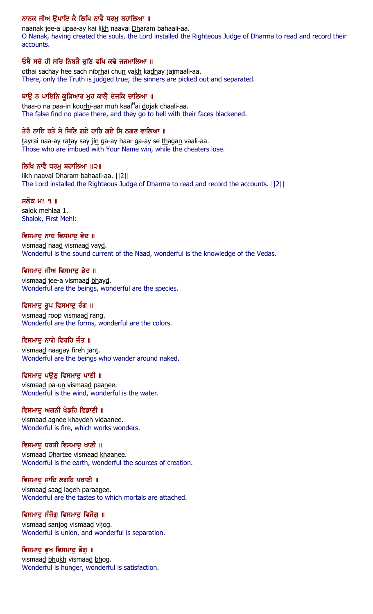# ਨਾਨਕ ਜੀਅ ਉਪਾਇ ਕੈ ਲਿਖਿ ਨਾਵੈ ਧਰਮੂ ਬਹਾਲਿਆ ॥

naanak jee-a upaa-ay kai likh naavai Dharam bahaali-aa. O Nanak, having created the souls, the Lord installed the Righteous Judge of Dharma to read and record their accounts.

# ਓਥੈ ਸਚੇ ਹੀ ਸਚਿ ਨਿਬੜੈ ਚਣਿ ਵਖਿ ਕਢੇ ਜਜਮਾਲਿਆ ॥

othai sachay hee sach nibrhai chun vakh kadhay jajmaali-aa. There, only the Truth is judged true; the sinners are picked out and separated.

# ਥਾਉ ਨ ਪਾਇਨਿ ਕੁੜਿਆਰ ਮੁਹ ਕਾਲੈ੍ ਦੋਜਕਿ ਚਾਲਿਆ ॥

thaa-o na paa-in koo<u>rh</u>i-aar muh kaal<sup>H</sup>ai <u>d</u>ojak chaali-aa. The false find no place there, and they go to hell with their faces blackened.

# ਤੇਰੈ ਨਾਇ ਰਤੇ ਸੇ ਜਿਣਿ ਗਏ ਹਾਰਿ ਗਏ ਸਿ ਠਗਣ ਵਾਲਿਆ ॥

tayrai naa-ay ratay say jin ga-ay haar ga-ay se thagan vaali-aa. Those who are imbued with Your Name win, while the cheaters lose.

### ਲਿਖਿ ਨਾਵੈ ਧਰਮ ਬਹਾਲਿਆ ॥੨॥

likh naavai Dharam bahaali-aa. ||2|| The Lord installed the Righteous Judge of Dharma to read and record the accounts. ||2||

# ਸਲੋਕ ਮਃ ੧ ॥

salok mehlaa 1. Shalok, First Mehl:

# ਵਿਸਮਾਦੂ ਨਾਦ ਵਿਸਮਾਦੂ ਵੇਦ ॥

vismaad naad vismaad vayd. Wonderful is the sound current of the Naad, wonderful is the knowledge of the Vedas.

# ਵਿਸਮਾਦੂ ਜੀਅ ਵਿਸਮਾਦੂ ਭੇਦ ॥

vismaad jee-a vismaad bhayd. Wonderful are the beings, wonderful are the species.

# ਵਿਸਮਾਦੂ ਰੂਪ ਵਿਸਮਾਦੂ ਰੰਗ ॥

vismaad roop vismaad rang. Wonderful are the forms, wonderful are the colors.

# ਵਿਸਮਾਦੂ ਨਾਗੇ ਫਿਰਹਿ ਜੰਤ ॥

vismaad naagay fireh jant. Wonderful are the beings who wander around naked.

# ਵਿਸਮਾਦੂ ਪਉਣੂ ਵਿਸਮਾਦੂ ਪਾਣੀ ॥

vismaad pa-un vismaad paanee. Wonderful is the wind, wonderful is the water.

# ਵਿਸਮਾਦ ਅਗਨੀ ਖੇਡਹਿ ਵਿਡਾਣੀ ॥

vismaad agnee khaydeh vidaanee. Wonderful is fire, which works wonders.

# ਵਿਸਮਾਦੂ ਧਰਤੀ ਵਿਸਮਾਦੂ ਖਾਣੀ ॥

vismaad Dhartee vismaad khaanee. Wonderful is the earth, wonderful the sources of creation.

# ਵਿਸਮਾਦੂ ਸਾਦਿ ਲਗਹਿ ਪਰਾਣੀ ॥

vismaad saad lageh paraanee. Wonderful are the tastes to which mortals are attached.

# ਵਿਸਮਾਦੂ ਸੰਜੋਗੂ ਵਿਸਮਾਦੂ ਵਿਜੋਗੂ ॥

vismaad sanjog vismaad vijog. Wonderful is union, and wonderful is separation.

# ਵਿਸਮਾਦੂ ਭੁਖ ਵਿਸਮਾਦੂ ਭੋਗੂ ॥

vismaad bhukh vismaad bhog. Wonderful is hunger, wonderful is satisfaction.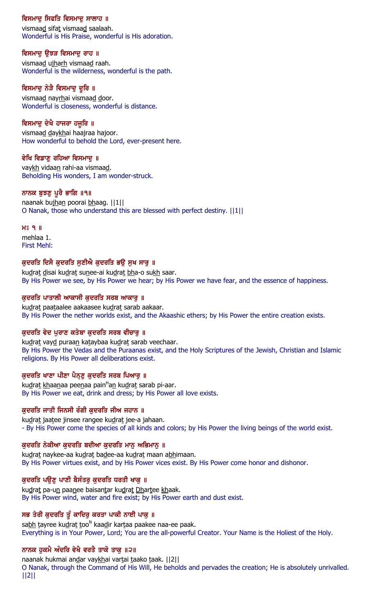# ਵਿਸਮਾਦ ਸਿਫਤਿ ਵਿਸਮਾਦ ਸਾਲਾਹ ॥

vismaad sifat vismaad saalaah. Wonderful is His Praise, wonderful is His adoration.

# ਵਿਸਮਾਦੂ ਉਝੜ ਵਿਸਮਾਦੂ ਰਾਹ ॥

vismaad ujharh vismaad raah. Wonderful is the wilderness, wonderful is the path.

# ਵਿਸਮਾਦੂ ਨੇੜੈ ਵਿਸਮਾਦੂ ਦੂਰਿ ॥

vismaad nayrhai vismaad door. Wonderful is closeness, wonderful is distance.

# ਵਿਸਮਾਦੂ ਦੇਖੈ ਹਾਜਰਾ ਹਜੂਰਿ ॥

vismaad daykhai haajraa hajoor. How wonderful to behold the Lord, ever-present here.

# ਵੇਖਿ ਵਿਡਾਣੁ ਰਹਿਆ ਵਿਸਮਾਦੁ ॥

vaykh vidaan rahi-aa vismaad. Beholding His wonders, I am wonder-struck.

### ਨਾਨਕ ਬੁਝਣੁ ਪੁਰੈ ਭਾਗਿ ॥੧॥

naanak bujhan poorai bhaag. [[1]] O Nanak, those who understand this are blessed with perfect destiny. ||1||

H<sub>2</sub> 9 ||

mehlaa 1. First Mehl:

# ਕੁਦਰਤਿ ਦਿਸੈ ਕੁਦਰਤਿ ਸੁਣੀਐ ਕੁਦਰਤਿ ਭਉ ਸੁਖ ਸਾਰੂ ॥

kudrat disai kudrat sunee-ai kudrat bha-o sukh saar. By His Power we see, by His Power we hear; by His Power we have fear, and the essence of happiness.

### ਕੁਦਰਤਿ ਪਾਤਾਲੀ ਆਕਾਸੀ ਕੁਦਰਤਿ ਸਰਬ ਆਕਾਰੂ ॥

kudrat paataalee aakaasee kudrat sarab aakaar. By His Power the nether worlds exist, and the Akaashic ethers; by His Power the entire creation exists.

# ਕੁਦਰਤਿ ਵੇਦ ਪੁਰਾਣ ਕਤੇਬਾ ਕੁਦਰਤਿ ਸਰਬ ਵੀਚਾਰੂ ॥

kudrat vayd puraan kataybaa kudrat sarab veechaar. By His Power the Vedas and the Puraanas exist, and the Holy Scriptures of the Jewish, Christian and Islamic religions. By His Power all deliberations exist.

# ਕੁਦਰਤਿ ਖਾਣਾ ਪੀਣਾ ਪੈਨ੍ਣੂ ਕੁਦਰਤਿ ਸਰਬ ਪਿਆਰੂ ॥

ku<u>d</u>ra<u>t kh</u>aa<u>n</u>aa pee<u>n</u>aa pain<sup>H</sup>an kudrat sarab pi-aar. By His Power we eat, drink and dress; by His Power all love exists.

# ਕਦਰਤਿ ਜਾਤੀ ਜਿਨਸੀ ਰੰਗੀ ਕਦਰਤਿ ਜੀਅ ਜਹਾਨ ॥

kudrat jaatee jinsee rangee kudrat jee-a jahaan. - By His Power come the species of all kinds and colors; by His Power the living beings of the world exist.

# ਕੁਦਰਤਿ ਨੇਕੀਆ ਕੁਦਰਤਿ ਬਦੀਆ ਕੁਦਰਤਿ ਮਾਨੂ ਅਭਿਮਾਨੂ ॥

kudrat naykee-aa kudrat badee-aa kudrat maan abhimaan. By His Power virtues exist, and by His Power vices exist. By His Power come honor and dishonor.

# ਕੁਦਰਤਿ ਪਉਣੂ ਪਾਣੀ ਬੈਸੰਤਰੂ ਕੁਦਰਤਿ ਧਰਤੀ ਖਾਕੂ ॥

kudrat pa-un paanee baisantar kudrat Dhartee khaak. By His Power wind, water and fire exist; by His Power earth and dust exist.

# ਸਭ ਤੇਰੀ ਕੁਦਰਤਿ ਤੂੰ ਕਾਦਿਰੁ ਕਰਤਾ ਪਾਕੀ ਨਾਈ ਪਾਕੂ ॥

sa<u>bh</u> tayree ku<u>d</u>rat too<sup>n</sup> kaa<u>d</u>ir kartaa paakee naa-ee paak. Everything is in Your Power, Lord; You are the all-powerful Creator. Your Name is the Holiest of the Holy.

# ਨਾਨਕ ਹੁਕਮੈ ਅੰਦਰਿ ਵੇਖੋ ਵਰਤੈ ਤਾਕੋ ਤਾਕੂ ॥੨॥

naanak hukmai andar vaykhai vartai taako taak. | | 2 | | O Nanak, through the Command of His Will, He beholds and pervades the creation; He is absolutely unrivalled. ||2||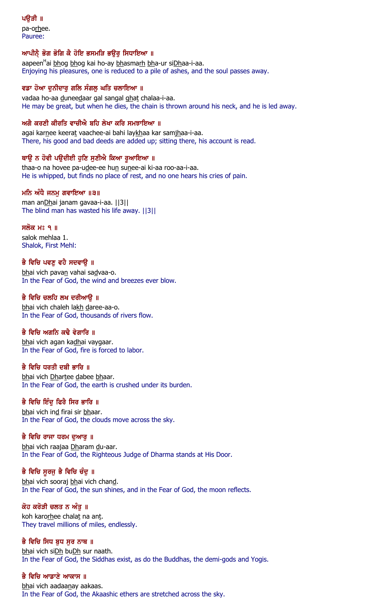pa-orhee. Pauree:

### ਆਪੀਨੈ ਭੋਗ ਭੋਗਿ ਕੈ ਹੋਇ ਭਸਮੜਿ ਭਉਰੂ ਸਿਧਾਇਆ ॥

aapeen<sup>H</sup>ai <u>bh</u>og <u>bh</u>og kai ho-ay <u>bh</u>asma<u>rh bh</u>a-ur si<u>Dh</u>aa-i-aa. Enjoying his pleasures, one is reduced to a pile of ashes, and the soul passes away.

### ਵਡਾ ਹੋਆ ਦਨੀਦਾਰ ਗਲਿ ਸੰਗਲ ਘਤਿ ਚਲਾਇਆ ॥

vadaa ho-aa duneedaar gal sangal ghat chalaa-i-aa. He may be great, but when he dies, the chain is thrown around his neck, and he is led away.

### ਅਗੈ ਕਰਣੀ ਕੀਰਤਿ ਵਾਚੀਐ ਬਹਿ ਲੇਖਾ ਕਰਿ ਸਮਝਾਇਆ ॥

agai karnee keerat vaachee-ai bahi laykhaa kar samjhaa-i-aa. There, his good and bad deeds are added up; sitting there, his account is read.

### ਥਾਉ ਨ ਹੋਵੀ ਪਉਦੀਈ ਹੁਣਿ ਸੁਣੀਐ ਕਿਆ ਰੁਆਇਆ ॥

thaa-o na hovee pa-udee-ee hun sunee-ai ki-aa roo-aa-i-aa. He is whipped, but finds no place of rest, and no one hears his cries of pain.

### ਮਨਿ ਅੰਧੈ ਜਨਮੁ ਗਵਾਇਆ ॥੩॥

man anDhai janam gavaa-i-aa. ||3|| The blind man has wasted his life away. ||3||

### <u>ਸਲੋਕ ਮਃ ੧ ॥</u>

salok mehlaa 1. Shalok, First Mehl:

# ਭੈ ਵਿਚਿ ਪਵਣੂ ਵਹੈ ਸਦਵਾਉ ॥

bhai vich pavan vahai sadvaa-o. In the Fear of God, the wind and breezes ever blow.

### ਭੈ ਵਿਚਿ ਚਲਹਿ ਲਖ ਦਰੀਆੳ ॥

bhai vich chaleh lakh daree-aa-o. In the Fear of God, thousands of rivers flow.

# ਭੈ ਵਿਚਿ ਅਗਨਿ ਕਢੈ ਵੇਗਾਰਿ ॥

bhai vich agan kadhai vaygaar. In the Fear of God, fire is forced to labor.

# ਕੈ ਵਿਚਿ ਧਰਤੀ ਦਬੀ ਕਾਰਿ ॥

bhai vich Dhartee dabee bhaar. In the Fear of God, the earth is crushed under its burden.

# ਭੈ ਵਿਚਿ ਇੰਦ ਫਿਰੈ ਸਿਰ ਭਾਰਿ ॥

bhai vich ind firai sir bhaar. In the Fear of God, the clouds move across the sky.

### ਭੈ ਵਿਚਿ ਰਾਜਾ ਧਰਮ ਦੁਆਰੂ ॥

bhai vich raajaa Dharam du-aar. In the Fear of God, the Righteous Judge of Dharma stands at His Door.

### ਭੈ ਵਿਚਿ ਸੁਰਜੁ ਭੈ ਵਿਚਿ ਚੰਦੁ ॥

bhai vich sooraj bhai vich chand. In the Fear of God, the sun shines, and in the Fear of God, the moon reflects.

### ਕੋਹ ਕਰੋੜੀ ਚਲਤ ਨ ਅੰਤੁ ॥

koh karorhee chalat na ant. They travel millions of miles, endlessly.

### ਭੈ ਵਿਚਿ ਸਿਧ ਬਧ ਸਰ ਨਾਥ ॥

bhai vich siDh buDh sur naath. In the Fear of God, the Siddhas exist, as do the Buddhas, the demi-gods and Yogis.

### ਭੈ ਵਿਚਿ ਆਡਾਣੇ ਆਕਾਸ ॥

bhai vich aadaanay aakaas. In the Fear of God, the Akaashic ethers are stretched across the sky.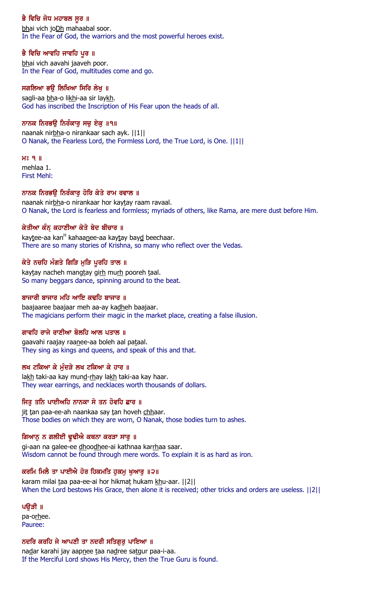# ਭੈ ਵਿਚਿ ਜੋਧ ਮਹਾਬਲ ਸੂਰ ॥

bhai vich joDh mahaabal soor. In the Fear of God, the warriors and the most powerful heroes exist.

# ਭੈ ਵਿਚਿ ਆਵਹਿ ਜਾਵਹਿ ਪੁਰ ॥

bhai vich aavahi jaaveh poor. In the Fear of God, multitudes come and go.

# ਸਗਲਿਆ ਭੳ ਲਿਖਿਆ ਸਿਰਿ ਲੇਖ ॥

sagli-aa bha-o likhi-aa sir laykh. God has inscribed the Inscription of His Fear upon the heads of all.

# ਨਾਨਕ ਨਿਰਭਉ ਨਿਰੰਕਾਰੂ ਸਚੂ ਏਕੂ ॥੧॥

naanak nirbha-o nirankaar sach ayk. ||1|| O Nanak, the Fearless Lord, the Formless Lord, the True Lord, is One. ||1||

### $H<sub>8</sub>$  9  $H<sub>1</sub>$

mehlaa 1. First Mehl:

# ਨਾਨਕ ਨਿਰਭਉ ਨਿਰੰਕਾਰੂ ਹੋਰਿ ਕੇਤੇ ਰਾਮ ਰਵਾਲ ॥

naanak nirbha-o nirankaar hor kaytay raam ravaal. O Nanak, the Lord is fearless and formless; myriads of others, like Rama, are mere dust before Him.

# ਕੇਤੀਆ ਕੰਨ ਕਹਾਣੀਆ ਕੇਤੇ ਬੇਦ ਬੀਚਾਰ ॥

kaytee-aa kan<sup>н</sup> kahaa<u>n</u>ee-aa kaytay bay<u>d</u> beechaar. There are so many stories of Krishna, so many who reflect over the Vedas.

# ਕੇਤੇ ਨਚਹਿ ਮੰਗਤੇ ਗਿੜਿ ਮੁੜਿ ਪੁਰਹਿ ਤਾਲ ॥

kaytay nacheh mangtay girh murh pooreh taal. So many beggars dance, spinning around to the beat.

# ਬਾਜਾਰੀ ਬਾਜਾਰ ਮਹਿ ਆਇ ਕਢਹਿ ਬਾਜਾਰ ॥

baajaaree baajaar meh aa-ay kadheh baajaar. The magicians perform their magic in the market place, creating a false illusion.

# ਗਾਵਹਿ ਰਾਜੇ ਰਾਣੀਆ ਬੋਲਹਿ ਆਲ ਪਤਾਲ ॥

gaavahi raajay raanee-aa boleh aal pataal. They sing as kings and queens, and speak of this and that.

# ਲਖ ਟਕਿਆ ਕੇ ਮੰਦੜੇ ਲਖ ਟਕਿਆ ਕੇ ਹਾਰ ॥

lakh taki-aa kay mund-rhay lakh taki-aa kay haar. They wear earrings, and necklaces worth thousands of dollars.

# ਜਿਤੂ ਤਨਿ ਪਾਈਅਹਿ ਨਾਨਕਾ ਸੇ ਤਨ ਹੋਵਹਿ ਛਾਰ ॥

jit tan paa-ee-ah naankaa say tan hoveh chhaar. Those bodies on which they are worn, O Nanak, those bodies turn to ashes.

# ਗਿਆਨੁ ਨ ਗਲੀਈ ਢੁਢੀਐ ਕਥਨਾ ਕਰੜਾ ਸਾਰੁ ॥

gi-aan na galee-ee dhoodhee-ai kathnaa karrhaa saar. Wisdom cannot be found through mere words. To explain it is as hard as iron.

# ਕਰਮਿ ਮਿਲੈ ਤਾ ਪਾਈਐ ਹੋਰ ਹਿਕਮਤਿ ਹੁਕਮੂ ਖੁਆਰੂ ॥੨॥

karam milai taa paa-ee-ai hor hikmat hukam khu-aar. ||2|| When the Lord bestows His Grace, then alone it is received; other tricks and orders are useless. ||2||

# ਪਉੜੀ ॥

pa-orhee. Pauree:

# ਨਦਰਿ ਕਰਹਿ ਜੇ ਆਪਣੀ ਤਾ ਨਦਰੀ ਸਤਿਗਰ ਪਾਇਆ ॥

nadar karahi jay aapnee taa nadree satgur paa-i-aa. If the Merciful Lord shows His Mercy, then the True Guru is found.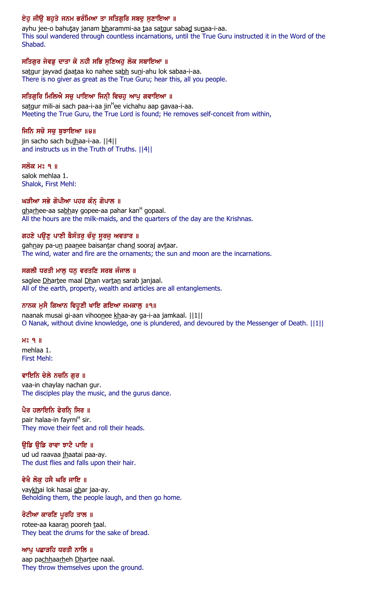# ਏਹੂ ਜੀਉ ਬਹੁਤੇ ਜਨਮ ਭਰੰਮਿਆ ਤਾ ਸਤਿਗੁਰਿ ਸਬਦੂ ਸੁਣਾਇਆ ॥

ayhu jee-o bahutay janam bharammi-aa taa satgur sabad sunaa-i-aa. This soul wandered through countless incarnations, until the True Guru instructed it in the Word of the Shabad.

# ਸਤਿਗੁਰ ਜੇਵਡੂ ਦਾਤਾ ਕੋ ਨਹੀ ਸਭਿ ਸੁਣਿਅਹੁ ਲੋਕ ਸਬਾਇਆ ॥

satgur jayvad daataa ko nahee sabh suni-ahu lok sabaa-i-aa. There is no giver as great as the True Guru; hear this, all you people.

# ਸਤਿਗੁਰਿ ਮਿਲਿਐ ਸਚੁ ਪਾਇਆ ਜਿਨ੍ਹੀ ਵਿਚਹੁ ਆਪੁ ਗਵਾਇਆ ॥

sa<u>t</u>gur mili-ai sach paa-i-aa jin<sup>H</sup>ee vichahu aap gavaa-i-aa. Meeting the True Guru, the True Lord is found; He removes self-conceit from within,

# ਜਿਨਿ ਸਚੋ ਸਚੁ ਬੁਝਾਇਆ ॥੪॥

jin sacho sach bujhaa-i-aa. ||4|| and instructs us in the Truth of Truths. ||4||

### ਸਲੋਕ ਮਃ ੧ ॥

salok mehlaa 1. Shalok, First Mehl:

# ਘੜੀਆ ਸਭੇ ਗੋਪੀਆ ਪਹਰ ਕੰਨ੍ ਗੋਪਾਲ ॥

g<u>harh</u>ee-aa sa<u>bh</u>ay gopee-aa pahar kan<sup>н</sup> gopaal. All the hours are the milk-maids, and the quarters of the day are the Krishnas.

# ਗਹਣੇ ਪਉਣੂ ਪਾਣੀ ਬੈਸੰਤਰੂ ਚੰਦੂ ਸੂਰਜੂ ਅਵਤਾਰ ॥

gahnay pa-un paanee baisantar chand sooraj avtaar. The wind, water and fire are the ornaments; the sun and moon are the incarnations.

# ਸਗਲੀ ਧਰਤੀ ਮਾਲੂ ਧਨੂ ਵਰਤਣਿ ਸਰਬ ਜੰਜਾਲ ॥

saglee Dhartee maal Dhan vartan sarab janjaal. All of the earth, property, wealth and articles are all entanglements.

# ਨਾਨਕ ਮੁਸੈ ਗਿਆਨ ਵਿਹੁਣੀ ਖਾਇ ਗਇਆ ਜਮਕਾਲੂ ॥੧॥

naanak musai gi-aan vihoonee khaa-ay ga-i-aa jamkaal. ||1|| O Nanak, without divine knowledge, one is plundered, and devoured by the Messenger of Death. ||1||

### $H<sub>2</sub>$  9  $H<sub>1</sub>$

mehlaa 1. First Mehl:

### ਵਾਇਨਿ ਚੇਲੇ ਨਚਨਿ ਗਰ ॥

vaa-in chaylay nachan gur. The disciples play the music, and the gurus dance.

# ਪੈਰ ਹਲਾਇਨਿ ਫੇਰਨਿ੍ ਸਿਰ ॥

pair halaa-in fayrni<sup>H</sup> sir. They move their feet and roll their heads.

# ਉਡਿ ਉਡਿ ਰਾਵਾ ਝਾਟੈ ਪਾਇ ॥

ud ud raavaa jhaatai paa-ay. The dust flies and falls upon their hair.

# ਵੇਖੈ ਲੋਕ ਹਸੈ ਘਰਿ ਜਾਇ ॥

vaykhai lok hasai ghar jaa-ay. Beholding them, the people laugh, and then go home.

### ਰੋਟੀਆ ਕਾਰਣਿ ਪੁਰਹਿ ਤਾਲ ॥

rotee-aa kaaran pooreh taal. They beat the drums for the sake of bread.

### ਆਪੂ ਪਛਾੜਹਿ ਧਰਤੀ ਨਾਲਿ ॥

aap pachhaarheh Dhartee naal. They throw themselves upon the ground.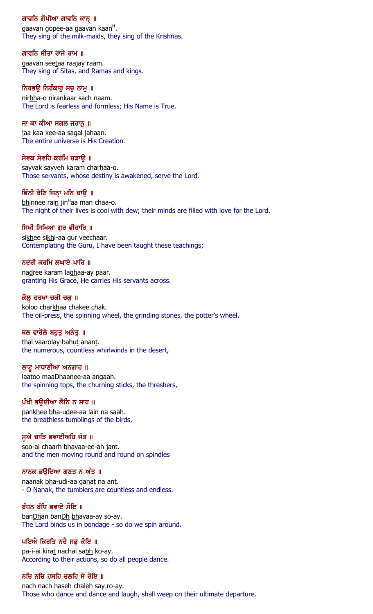### ਗਾਵਨਿ ਗੋਪੀਆ ਗਾਵਨਿ ਕਾਨ੍ਾ ॥

gaavan gopee-aa gaavan kaan<sup>H</sup>. They sing of the milk-maids, they sing of the Krishnas.

### ਗਾਵਨਿ ਸੀਤਾ ਰਾਜੇ ਰਾਮ ॥

gaavan seetaa raajay raam. They sing of Sitas, and Ramas and kings.

#### ਨਿਰਭਉ ਨਿਰੰਕਾਰੁ ਸਚੁ ਨਾਮੁ ॥

nirbha-o nirankaar sach naam. The Lord is fearless and formless; His Name is True.

#### ਜਾ ਕਾ ਕੀਆ ਸਗਲ ਜਹਾਨ ॥

jaa kaa kee-aa sagal jahaan. The entire universe is His Creation.

#### ਸੇਵਕ ਸੇਵਹਿ ਕਰਮਿ ਚੜਾਉ ॥

sayvak sayveh karam charhaa-o. Those servants, whose destiny is awakened, serve the Lord.

### ਭਿੰਨੀ ਰੈਣਿ ਜਿਨ੍ਾ ਮਨਿ ਚਾਉ ॥

<u>bh</u>innee rai<u>n</u> jin<sup>H</sup>aa man chaa-o. The night of their lives is cool with dew; their minds are filled with love for the Lord.

### ਸਿਖੀ ਸਿਖਿਆ ਗੁਰ ਵੀਚਾਰਿ ॥

sikhee sikhi-aa gur veechaar. Contemplating the Guru, I have been taught these teachings;

### ਨਦਰੀ ਕਰਮਿ ਲਘਾਏ ਪਾਰਿ ॥

nadree karam laghaa-ay paar. granting His Grace, He carries His servants across.

### ਕੋਲੂ ਚਰਖਾ ਚਕੀ ਚਕੂ ॥

koloo charkhaa chakee chak. The oil-press, the spinning wheel, the grinding stones, the potter's wheel,

### ਥਲ ਵਾਰੋਲੇ ਬਹੁਤੁ ਅਨੰਤੁ ॥

thal vaarolay bahut anant. the numerous, countless whirlwinds in the desert,

#### ਲਾਟੂ ਮਾਧਾਣੀਆ ਅਨਗਾਹ ॥

laatoo maaDhaanee-aa angaah. the spinning tops, the churning sticks, the threshers,

### ਪੰਖੀ ਭਉਦੀਆ ਲੈਨਿ ਨ ਸਾਹ ॥

pankhee bha-udee-aa lain na saah. the breathless tumblings of the birds,

### ਸੁਐ ਚਾੜਿ ਭਵਾਈਅਹਿ ਜੰਤ ॥

soo-ai chaarh bhavaa-ee-ah jant. and the men moving round and round on spindles

#### ਨਾਨਕ ਭਉਦਿਆ ਗਣਤ ਨ ਅੰਤ ॥

naanak bha-udi-aa ganat na ant. - O Nanak, the tumblers are countless and endless.

### ਬੰਧਨ ਬੰਧਿ ਭਵਾਏ ਸੋਇ ॥

banDhan banDh bhavaa-ay so-ay. The Lord binds us in bondage - so do we spin around.

### ਪਇਐ ਕਿਰਤਿ ਨਚੈ ਸਭ ਕੋਇ ॥

pa-i-ai kirat nachai sabh ko-ay. According to their actions, so do all people dance.

### ਨਚਿ ਨਚਿ ਹਸਹਿ ਚਲਹਿ ਸੇ ਰੋਇ ॥

nach nach haseh chaleh say ro-ay. Those who dance and dance and laugh, shall weep on their ultimate departure.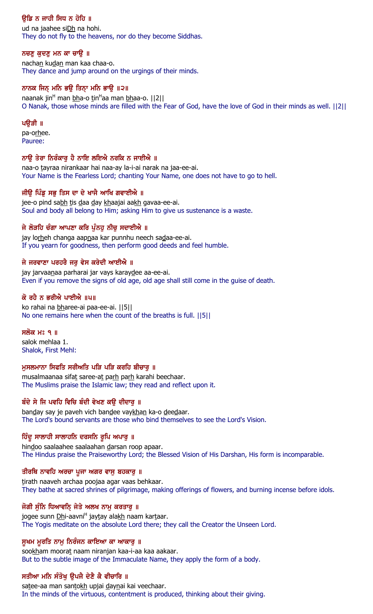# ੳਡਿ ਨ ਜਾਹੀ ਸਿਧ ਨ ਹੋਹਿ ॥

ud na jaahee siDh na hohi. They do not fly to the heavens, nor do they become Siddhas.

# ਨਚਣੁ ਕੁਦਣੁ ਮਨ ਕਾ ਚਾਉ ॥

nachan kudan man kaa chaa-o. They dance and jump around on the urgings of their minds.

# ਨਾਨਕ ਜਿਨ੍ ਮਨਿ ਭਉ ਤਿਨ੍ਹਾ ਮਨਿ ਭਾਉ ॥੨॥

naanak jin<sup>H</sup> man <u>bh</u>a-o <u>t</u>in<sup>H</sup>aa man <u>bh</u>aa-o. ||2|| O Nanak, those whose minds are filled with the Fear of God, have the love of God in their minds as well. ||2||

# ਪੳੜੀ ॥

pa-orhee. Pauree:

# ਨਾਉ ਤੇਰਾ ਨਿਰੰਕਾਰੁ ਹੈ ਨਾਇ ਲਇਐ ਨਰਕਿ ਨ ਜਾਈਐ ॥

naa-o tayraa nirankaar hai naa-ay la-i-ai narak na jaa-ee-ai. Your Name is the Fearless Lord; chanting Your Name, one does not have to go to hell.

# ਜੀਉ ਪਿੰਡੂ ਸਭੂ ਤਿਸ ਦਾ ਦੇ ਖਾਜੈ ਆਖਿ ਗਵਾਈਐ ॥

jee-o pind sabh tis daa day khaajai aakh gavaa-ee-ai. Soul and body all belong to Him; asking Him to give us sustenance is a waste.

# ਜੇ ਲੋੜਹਿ ਚੰਗਾ ਆਪਣਾ ਕਰਿ ਪੁੰਨਹੁ ਨੀਚੁ ਸਦਾਈਐ ॥

jay lorheh changa aapnaa kar punnhu neech sadaa-ee-ai. If you yearn for goodness, then perform good deeds and feel humble.

# ਜੇ ਜਰਵਾਣਾ ਪਰਹਰੈ ਜਰੁ ਵੇਸ ਕਰੇਦੀ ਆਈਐ ॥

jay jarvaanaa parharai jar vays karaydee aa-ee-ai. Even if you remove the signs of old age, old age shall still come in the guise of death.

# ਕੋ ਰਹੈ ਨ ਭਰੀਐ ਪਾਈਐ ॥੫॥

ko rahai na bharee-ai paa-ee-ai. ||5|| No one remains here when the count of the breaths is full. ||5||

# ਸਲੋਕ ਮਃ ੧ ॥

salok mehlaa 1. Shalok, First Mehl:

# ਮਸਲਮਾਨਾ ਸਿਫਤਿ ਸਰੀਅਤਿ ਪੜਿ ਪੜਿ ਕਰਹਿ ਬੀਚਾਰ ॥

musalmaanaa sifat saree-at parh parh karahi beechaar. The Muslims praise the Islamic law; they read and reflect upon it.

# ਬੰਦੇ ਸੇ ਜਿ ਪਵਹਿ ਵਿਚਿ ਬੰਦੀ ਵੇਖਣ ਕਉ ਦੀਦਾਰੁ ॥

banday say je paveh vich bandee vaykhan ka-o deedaar. The Lord's bound servants are those who bind themselves to see the Lord's Vision.

# ਹਿੰਦੂ ਸਾਲਾਹੀ ਸਾਲਾਹਨਿ ਦਰਸਨਿ ਰੁਪਿ ਅਪਾਰੂ ॥

hindoo saalaahee saalaahan darsan roop apaar. The Hindus praise the Praiseworthy Lord; the Blessed Vision of His Darshan, His form is incomparable.

# ਤੀਰਥਿ ਨਾਵਹਿ ਅਰਚਾ ਪੂਜਾ ਅਗਰ ਵਾਸੂ ਬਹਕਾਰੂ ॥

tirath naaveh archaa poojaa agar vaas behkaar. They bathe at sacred shrines of pilgrimage, making offerings of flowers, and burning incense before idols.

# ਜੋਗੀ ਸੁੰਨਿ ਧਿਆਵਨਿ੍ ਜੇਤੇ ਅਲਖ ਨਾਮੁ ਕਰਤਾਰੁ ॥

jogee sunn <u>Dh</u>i-aavni<sup>H</sup> jay<u>t</u>ay ala<u>kh</u> naam kar<u>t</u>aar. The Yogis meditate on the absolute Lord there; they call the Creator the Unseen Lord.

# ਸੁਖਮ ਮੁਰਤਿ ਨਾਮੂ ਨਿਰੰਜਨ ਕਾਇਆ ਕਾ ਆਕਾਰੂ ॥

sookham moorat naam niranjan kaa-i-aa kaa aakaar. But to the subtle image of the Immaculate Name, they apply the form of a body.

# ਸਤੀਆ ਮਨਿ ਸੰਤੋਖ ੳਪਜੈ ਦੇਣੈ ਕੈ ਵੀਚਾਰਿ ॥

satee-aa man santokh upjai daynai kai veechaar. In the minds of the virtuous, contentment is produced, thinking about their giving.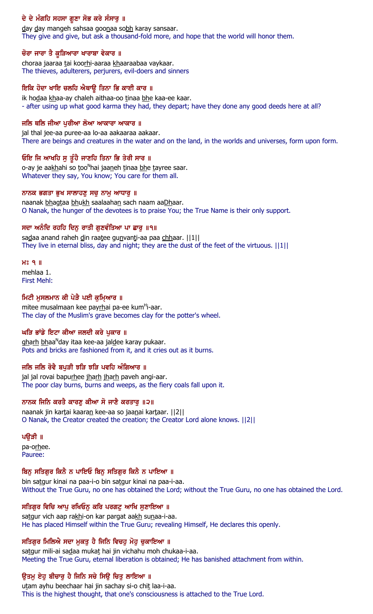# ਦੇ ਦੇ ਮੰਗਹਿ ਸਹਸਾ ਗੁਣਾ ਸੋਭ ਕਰੇ ਸੰਸਾਰੂ ॥

day day mangeh sahsaa goonaa sobh karay sansaar. They give and give, but ask a thousand-fold more, and hope that the world will honor them.

### ਚੋਰਾ ਜਾਰਾ ਤੈ ਕੁੜਿਆਰਾ ਖਾਰਾਬਾ ਵੇਕਾਰ ॥

choraa jaaraa tai koorhi-aaraa khaaraabaa vaykaar. The thieves, adulterers, perjurers, evil-doers and sinners

### ਇਕਿ ਹੋਦਾ ਖਾਇ ਚਲਹਿ ਐਥਾਉ ਤਿਨਾ ਭਿ ਕਾਈ ਕਾਰ ॥

ik hodaa khaa-ay chaleh aithaa-oo tinaa bhe kaa-ee kaar. - after using up what good karma they had, they depart; have they done any good deeds here at all?

### ਜਲਿ ਥਲਿ ਜੀਆ ਪਰੀਆ ਲੋਆ ਆਕਾਰਾ ਆਕਾਰ ॥

jal thal jee-aa puree-aa lo-aa aakaaraa aakaar. There are beings and creatures in the water and on the land, in the worlds and universes, form upon form.

### ਓਇ ਜਿ ਆਖਹਿ ਸੁ ਤੂੰਹੈ ਜਾਣਹਿ ਤਿਨਾ ਭਿ ਤੇਰੀ ਸਾਰ ॥

o-ay je aa<u>kh</u>ahi so <u>t</u>oo<sup>n</sup>hai jaa<u>n</u>eh <u>t</u>inaa <u>bh</u>e tayree saar. Whatever they say, You know; You care for them all.

### ਨਾਨਕ ਭਗਤਾ ਭੁਖ ਸਾਲਾਹਣੁ ਸਚੁ ਨਾਮੁ ਆਧਾਰੁ ॥

naanak bhagtaa bhukh saalaahan sach naam aaDhaar. O Nanak, the hunger of the devotees is to praise You; the True Name is their only support.

### ਸਦਾ ਅਨੰਦਿ ਰਹਹਿ ਦਿਨੁ ਰਾਤੀ ਗੁਣਵੰਤਿਆ ਪਾ ਛਾਰੁ ॥੧॥

sadaa anand raheh din raatee gunvanti-aa paa chhaar. ||1|| They live in eternal bliss, day and night; they are the dust of the feet of the virtuous. ||1||

#### $H<sub>8</sub>$  9  $\parallel$

mehlaa 1. First Mehl:

### ਮਿਟੀ ਮੁਸਲਮਾਨ ਕੀ ਪੇੜੈ ਪਈ ਕੁਮਿਆਰ ॥

mitee musalmaan kee pay<u>rh</u>ai pa-ee kum<sup>H</sup>i-aar. The clay of the Muslim's grave becomes clay for the potter's wheel.

### ਘੜਿ ਭਾਂਡੇ ਇਟਾ ਕੀਆ ਜਲਦੀ ਕਰੇ ਪਕਾਰ ॥

gha<u>rh bh</u>aa<sup>n</sup>day itaa kee-aa jal<u>d</u>ee karay pukaar. Pots and bricks are fashioned from it, and it cries out as it burns.

### ਜਲਿ ਜਲਿ ਰੋਵੈ ਬਪੜੀ ਝੜਿ ਝੜਿ ਪਵਹਿ ਅੰਗਿਆਰ ॥

jal jal rovai bapurhee jharh jharh paveh angi-aar. The poor clay burns, burns and weeps, as the fiery coals fall upon it.

### ਨਾਨਕ ਜਿਨਿ ਕਰਤੈ ਕਾਰਣੂ ਕੀਆ ਸੋ ਜਾਣੈ ਕਰਤਾਰੂ ॥੨॥

naanak jin kartai kaaran kee-aa so jaanai kartaar. ||2|| O Nanak, the Creator created the creation; the Creator Lord alone knows. ||2||

### ਪਉੜੀ ॥

pa-orhee. Pauree:

### ਬਿਨ ਸਤਿਗੁਰ ਕਿਨੈ ਨ ਪਾਇਓ ਬਿਨੂ ਸਤਿਗੁਰ ਕਿਨੈ ਨ ਪਾਇਆ ॥

bin satgur kinai na paa-i-o bin satgur kinai na paa-i-aa. Without the True Guru, no one has obtained the Lord; without the True Guru, no one has obtained the Lord.

### ਸਤਿਗੁਰ ਵਿਚਿ ਆਪੂ ਰਖਿਓਨੂ ਕਰਿ ਪਰਗਟੂ ਆਖਿ ਸੁਣਾਇਆ ॥

satgur vich aap rakhi-on kar pargat aakh sunaa-i-aa. He has placed Himself within the True Guru; revealing Himself, He declares this openly.

### ਸਤਿਗਰ ਮਿਲਿਐ ਸਦਾ ਮਕਤ ਹੈ ਜਿਨਿ ਵਿਚਹ ਮੋਹ ਚਕਾਇਆ ॥

satgur mili-ai sadaa mukat hai jin vichahu moh chukaa-i-aa. Meeting the True Guru, eternal liberation is obtained; He has banished attachment from within.

# ੳਤਮ ਏਹ ਬੀਚਾਰ ਹੈ ਜਿਨਿ ਸਚੇ ਸਿੳ ਚਿਤ ਲਾਇਆ ॥

utam ayhu beechaar hai jin sachay si-o chit laa-i-aa. This is the highest thought, that one's consciousness is attached to the True Lord.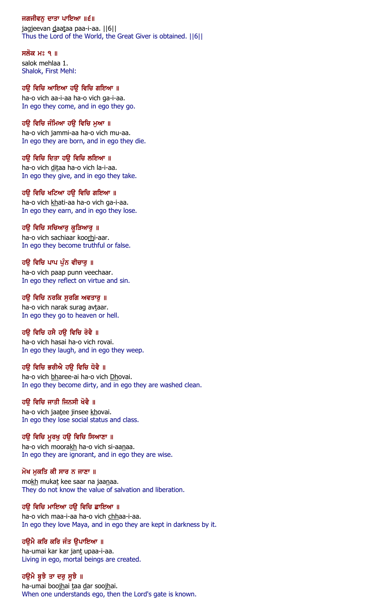### ਜਗਜੀਵਨੂ ਦਾਤਾ ਪਾਇਆ ॥੬॥

jagjeevan daataa paa-i-aa. ||6|| Thus the Lord of the World, the Great Giver is obtained. ||6||

ਸਲੋਕ ਮਃ ੧ ॥ salok mehlaa 1. Shalok, First Mehl:

### ਹੳ ਵਿਚਿ ਆਇਆ ਹੳ ਵਿਚਿ ਗਇਆ ॥

ha-o vich aa-i-aa ha-o vich ga-i-aa. In ego they come, and in ego they go.

### ਹਉ ਵਿਚਿ ਜੰਮਿਆ ਹਉ ਵਿਚਿ ਮੁਆ ॥

ha-o vich jammi-aa ha-o vich mu-aa. In ego they are born, and in ego they die.

### ਹਉ ਵਿਚਿ ਦਿਤਾ ਹਉ ਵਿਚਿ ਲਇਆ ॥

ha-o vich ditaa ha-o vich la-i-aa. In ego they give, and in ego they take.

### ਹਉ ਵਿਚਿ ਖਟਿਆ ਹਉ ਵਿਚਿ ਗਇਆ ॥

ha-o vich khati-aa ha-o vich ga-i-aa. In ego they earn, and in ego they lose.

### ਹਉ ਵਿਚਿ ਸਚਿਆਰੁ ਕੁੜਿਆਰੁ ॥

ha-o vich sachiaar koorhi-aar. In ego they become truthful or false.

### ਹਉ ਵਿਚਿ ਪਾਪ ਪੁੰਨ ਵੀਚਾਰੁ ॥

ha-o vich paap punn veechaar. In ego they reflect on virtue and sin.

### ਹਉ ਵਿਚਿ ਨਰਕਿ ਸੁਰਗਿ ਅਵਤਾਰੂ ॥

ha-o vich narak surag avtaar. In ego they go to heaven or hell.

### ਹਉ ਵਿਚਿ ਹਸੈ ਹਉ ਵਿਚਿ ਰੋਵੈ ॥

ha-o vich hasai ha-o vich rovai. In ego they laugh, and in ego they weep.

### ਹਉ ਵਿਚਿ ਭਰੀਐ ਹਉ ਵਿਚਿ ਧੋਵੈ ॥

ha-o vich bharee-ai ha-o vich Dhovai. In ego they become dirty, and in ego they are washed clean.

### ਹਉ ਵਿਚਿ ਜਾਤੀ ਜਿਨਸੀ ਖੋਵੈ ॥

ha-o vich jaatee jinsee khovai. In ego they lose social status and class.

### ਹਉ ਵਿਚਿ ਮੁਰਖੁ ਹਉ ਵਿਚਿ ਸਿਆਣਾ ॥

ha-o vich moorakh ha-o vich si-aanaa. In ego they are ignorant, and in ego they are wise.

#### ਮੋਖ ਮੁਕਤਿ ਕੀ ਸਾਰ ਨ ਜਾਣਾ ॥

mokh mukat kee saar na jaanaa. They do not know the value of salvation and liberation.

### ਹਉ ਵਿਚਿ ਮਾਇਆ ਹਉ ਵਿਚਿ ਛਾਇਆ ॥

ha-o vich maa-i-aa ha-o vich chhaa-i-aa. In ego they love Maya, and in ego they are kept in darkness by it.

### ਹੳਮੈ ਕਰਿ ਕਰਿ ਜੰਤ ੳਪਾਇਆ ॥

ha-umai kar kar jant upaa-i-aa. Living in ego, mortal beings are created.

### ਹਉਮੈ ਬੁਝੈ ਤਾ ਦਰੁ ਸੁਝੈ ॥

ha-umai boojhai taa dar soojhai. When one understands ego, then the Lord's gate is known.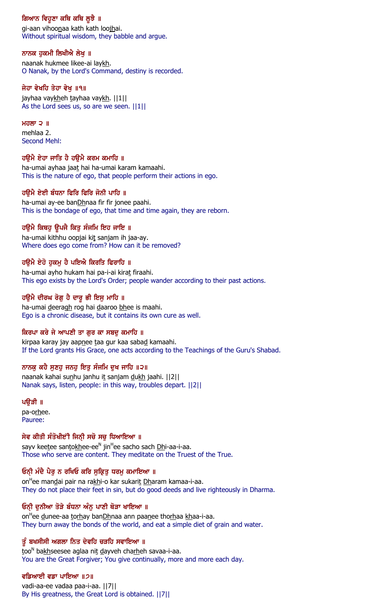# ਗਿਆਨ ਵਿਹੁਣਾ ਕਥਿ ਕਥਿ ਲੁਝੈ ॥

gi-aan vihoonaa kath kath loojhai. Without spiritual wisdom, they babble and argue.

# ਨਾਨਕ ਹੁਕਮੀ ਲਿਖੀਐ ਲੇਖੁ ॥

naanak hukmee likee-ai laykh. O Nanak, by the Lord's Command, destiny is recorded.

# ਜੇਹਾ ਵੇਖਹਿ ਤੇਹਾ ਵੇਖੁ ॥੧॥

jayhaa vaykheh tayhaa vaykh. ||1|| As the Lord sees us, so are we seen.  $||1||$ 

# ਮਹਲਾ $\overline{2}$   $\overline{1}$

mehlaa 2. Second Mehl:

# ਹਉਮੈ ਏਹਾ ਜਾਤਿ ਹੈ ਹਉਮੈ ਕਰਮ ਕਮਾਹਿ ॥

ha-umai ayhaa jaat hai ha-umai karam kamaahi. This is the nature of ego, that people perform their actions in ego.

# ਹਉਮੈ ਏਈ ਬੰਧਨਾ ਫਿਰਿ ਫਿਰਿ ਜੋਨੀ ਪਾਹਿ ॥

ha-umai ay-ee banDhnaa fir fir jonee paahi. This is the bondage of ego, that time and time again, they are reborn.

# ਹਉਮੈ ਕਿਥਹੁ ਉਪਜੈ ਕਿਤੁ ਸੰਜਮਿ ਇਹ ਜਾਇ ॥

ha-umai kithhu oopjai kit sanjam ih jaa-ay. Where does ego come from? How can it be removed?

# ਹਉਮੈ ਏਹੋ ਹੁਕਮੂ ਹੈ ਪਇਐ ਕਿਰਤਿ ਫਿਰਾਹਿ ॥

ha-umai ayho hukam hai pa-i-ai kirat firaahi. This ego exists by the Lord's Order; people wander according to their past actions.

# ਹਉਮੈ ਦੀਰਘ ਰੋਗੂ ਹੈ ਦਾਰੂ ਭੀ ਇਸੂ ਮਾਹਿ ॥

ha-umai deeragh rog hai daaroo bhee is maahi. Ego is a chronic disease, but it contains its own cure as well.

# ਕਿਰਪਾ ਕਰੇ ਜੇ ਆਪਣੀ ਤਾ ਗਰ ਕਾ ਸਬਦ ਕਮਾਹਿ ॥

kirpaa karay jay aapnee taa gur kaa sabad kamaahi. If the Lord grants His Grace, one acts according to the Teachings of the Guru's Shabad.

# ਨਾਨਕੂ ਕਹੈ ਸੁਣਹੁ ਜਨਹੁ ਇਤੁ ਸੰਜਮਿ ਦੁਖ ਜਾਹਿ ॥੨॥

naanak kahai sunhu janhu it sanjam dukh jaahi. ||2|| Nanak says, listen, people: in this way, troubles depart. ||2||

# ਪਉੜੀ ॥

pa-orhee. Pauree:

# ਸੇਵ ਕੀਤੀ ਸੰਤੋਖੀੲਂੀ ਜਿਨ੍ਹੀ ਸਚੋ ਸਚੁ ਧਿਆਇਆ ॥

sayv kee<u>t</u>ee san<u>tokh</u>ee-ee<sup>n</sup> jin<sup>н</sup>ee sacho sach <u>Dh</u>i-aa-i-aa. Those who serve are content. They meditate on the Truest of the True.

# ਓਨੀ ਮੰਦੈ ਪੈਰੂ ਨ ਰਖਿਓ ਕਰਿ ਸੁਕ੍ਰਿਤੂ ਧਰਮੂ ਕਮਾਇਆ ॥

on<sup>H</sup>ee man<u>d</u>ai pair na ra<u>kh</u>i-o kar sukari<u>t Dh</u>aram kamaa-i-aa. They do not place their feet in sin, but do good deeds and live righteously in Dharma.

# ਓਨੀ ਦੁਨੀਆ ਤੋੜੇ ਬੰਧਨਾ ਅੰਨੂ ਪਾਣੀ ਥੋੜਾ ਖਾਇਆ ॥

on<sup>H</sup>ee <u>d</u>unee-aa <u>torh</u>ay ban<u>Dh</u>naa ann paanee thorhaa khaa-i-aa. They burn away the bonds of the world, and eat a simple diet of grain and water.

# ਤੂੰ ਬਖਸੀਸੀ ਅਗਲਾ ਨਿਤ ਦੇਵਹਿ ਚੜਹਿ ਸਵਾਇਆ ॥

<u>t</u>oo<sup>n</sup> ba<u>kh</u>seesee aglaa ni<u>t d</u>ayveh cha<u>rh</u>eh savaa-i-aa. You are the Great Forgiver; You give continually, more and more each day.

# ਵਡਿਆਈ ਵਡਾ ਪਾਇਆ ॥੭॥

vadi-aa-ee vadaa paa-i-aa. ||7|| By His greatness, the Great Lord is obtained. ||7||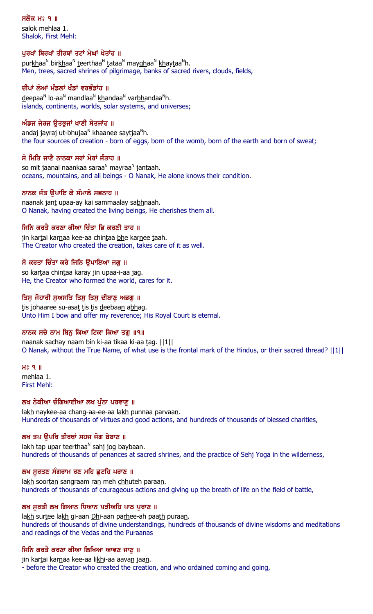### ਸਲੋਕ ਮਃ ੧ ॥

salok mehlaa 1. Shalok, First Mehl:

### ਪੂਰਖਾਂ ਬਿਰਖਾਂ ਤੀਰਥਾਂ ਤਟਾਂ ਮੇਘਾਂ ਖੇਤਾਂਹ ॥

pur<u>kh</u>aa<sup>n</sup> bir<u>kh</u>aa<sup>n</sup> teerthaa<sup>n</sup> tataa<sup>n</sup> may<u>gh</u>aa<sup>n</sup> khaytaa<sup>n</sup>h. Men, trees, sacred shrines of pilgrimage, banks of sacred rivers, clouds, fields,

# ਦੀਪਾਂ ਲੋਆਂ ਮੰਡਲਾਂ ਖੰਡਾਂ ਵਰਭੰਡਾਂਹ ॥

<u>d</u>eepaa<sup>n</sup> lo-aa<sup>n</sup> mandlaa<sup>n</sup> khandaa<sup>n</sup> var<u>bh</u>andaa<sup>n</sup>h. islands, continents, worlds, solar systems, and universes;

### ਅੰਡਜ ਜੇਰਜ ੳਤਭਜਾਂ ਖਾਣੀ ਸੇਤਜਾਂਹ ॥

andaj jayraj u<u>t-bh</u>ujaa<sup>n</sup> khaa<u>n</u>ee say<u>t</u>jaa<sup>n</sup>h. the four sources of creation - born of eggs, born of the womb, born of the earth and born of sweat;

### ਸੋ ਮਿਤਿ ਜਾਣੈ ਨਾਨਕਾ ਸਰਾਂ ਮੇਰਾਂ ਜੰਤਾਹ ॥

so mi<u>t</u> jaa<u>n</u>ai naankaa saraa<sup>n</sup> mayraa<sup>n</sup> jan<u>t</u>aah. oceans, mountains, and all beings - O Nanak, He alone knows their condition.

### ਨਾਨਕ ਜੰਤ ੳਪਾਇ ਕੈ ਸੰਮਾਲੇ ਸਭਨਾਹ ॥

naanak jant upaa-ay kai sammaalay sabhnaah. O Nanak, having created the living beings, He cherishes them all.

### ਜਿਨਿ ਕਰਤੈ ਕਰਣਾ ਕੀਆ ਚਿੰਤਾ ਭਿ ਕਰਣੀ ਤਾਹ ॥

jin kartai karnaa kee-aa chintaa bhe karnee taah. The Creator who created the creation, takes care of it as well.

### ਸੋ ਕਰਤਾ ਚਿੰਤਾ ਕਰੇ ਜਿਨਿ ੳਪਾਇਆ ਜਗ ॥

so kartaa chintaa karay jin upaa-i-aa jag. He, the Creator who formed the world, cares for it.

### ਤਿਸੁ ਜੋਹਾਰੀ ਸੁਅਸਤਿ ਤਿਸੁ ਤਿਸੁ ਦੀਬਾਣੂ ਅਭਗੂ ॥

tis johaaree su-asat tis tis deebaan abhag. Unto Him I bow and offer my reverence; His Royal Court is eternal.

### ਨਾਨਕ ਸਚੇ ਨਾਮ ਬਿਨ ਕਿਆ ਟਿਕਾ ਕਿਆ ਤਗ ॥੧॥

naanak sachay naam bin ki-aa tikaa ki-aa tag. ||1|| O Nanak, without the True Name, of what use is the frontal mark of the Hindus, or their sacred thread? ||1||

#### $H<sup>o</sup>$   $H<sup>o</sup>$

mehlaa 1. First Mehl:

### ਲਖ ਨੇਕੀਆ ਚੰਗਿਆਈਆ ਲਖ ਪੁੰਨਾ ਪਰਵਾਣੂ ॥

lakh naykee-aa chang-aa-ee-aa lakh punnaa parvaan. Hundreds of thousands of virtues and good actions, and hundreds of thousands of blessed charities,

### ਲਖ ਤਪ ਉਪਰਿ ਤੀਰਥਾਂ ਸਹਜ ਜੋਗ ਬੇਬਾਣ ॥

la<u>kh</u> tap upar teerthaa<sup>n</sup> sahj jog baybaa<u>n</u>. hundreds of thousands of penances at sacred shrines, and the practice of Sehj Yoga in the wilderness,

### ਲਖ ਸੁਰਤਣ ਸੰਗਰਾਮ ਰਣ ਮਹਿ ਛੁਟਹਿ ਪਰਾਣ ॥

lakh soortan sangraam ran meh chhuteh paraan. hundreds of thousands of courageous actions and giving up the breath of life on the field of battle,

### ਲਖ ਸੂਰਤੀ ਲਖ ਗਿਆਨ ਧਿਆਨ ਪੜੀਅਹਿ ਪਾਠ ਪੁਰਾਣ ॥

lakh surtee lakh gi-aan Dhi-aan parhee-ah paath puraan. hundreds of thousands of divine understandings, hundreds of thousands of divine wisdoms and meditations and readings of the Vedas and the Puraanas

### ਜਿਨਿ ਕਰਤੈ ਕਰਣਾ ਕੀਆ ਲਿਖਿਆ ਆਵਣ ਜਾਣੂ ॥

jin kartai karnaa kee-aa likhi-aa aavan jaan.

- before the Creator who created the creation, and who ordained coming and going,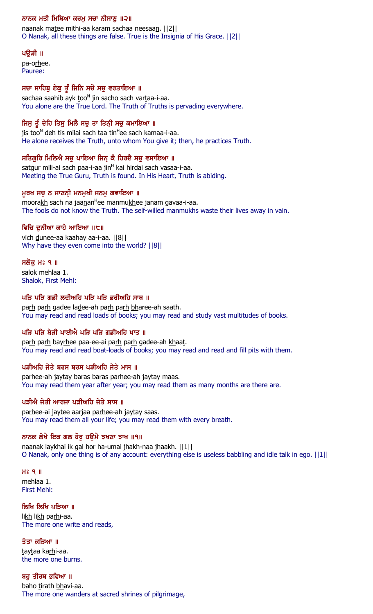# ਨਾਨਕ ਮਤੀ ਮਿਥਿਆ ਕਰਮੂ ਸਚਾ ਨੀਸਾਣੂ ॥੨॥

naanak matee mithi-aa karam sachaa neesaan. ||2|| O Nanak, all these things are false. True is the Insignia of His Grace. ||2||

### ਪਉੜੀ ॥

pa-orhee. Pauree:

# ਸਚਾ ਸਾਹਿਬੁ ਏਕੁ ਤੂੰ ਜਿਨਿ ਸਚੋ ਸਚੁ ਵਰਤਾਇਆ ॥

sachaa saahib ayk <u>t</u>oo<sup>n</sup> jin sacho sach var<u>t</u>aa-i-aa. You alone are the True Lord. The Truth of Truths is pervading everywhere.

# ਜਿਸੁ ਤੂੰ ਦੇਹਿ ਤਿਸੁ ਮਿਲੈ ਸਚੁ ਤਾ ਤਿਨ੍ਹੀ ਸਚੁ ਕਮਾਇਆ ॥

jis <u>t</u>oo<sup>n</sup> deh tis milai sach taa tin<sup>H</sup>ee sach kamaa-i-aa. He alone receives the Truth, unto whom You give it; then, he practices Truth.

# ਸਤਿਗੁਰਿ ਮਿਲਿਐ ਸਚੁ ਪਾਇਆ ਜਿਨ੍ ਕੈ ਹਿਰਦੈ ਸਚੁ ਵਸਾਇਆ ॥

sa<u>t</u>gur mili-ai sach paa-i-aa jin<sup>H</sup> kai hir<u>d</u>ai sach vasaa-i-aa. Meeting the True Guru, Truth is found. In His Heart, Truth is abiding.

# ਮੁਰਖ ਸਚੁ ਨ ਜਾਣਨੀ ਮਨਮੁਖੀ ਜਨਮੁ ਗਵਾਇਆ ॥

moora<u>kh</u> sach na jaanan<sup>H</sup>ee manmu<u>kh</u>ee janam gavaa-i-aa. The fools do not know the Truth. The self-willed manmukhs waste their lives away in vain.

# ਵਿਚਿ ਦੁਨੀਆ ਕਾਹੇ ਆਇਆ ॥੮॥

vich dunee-aa kaahay aa-i-aa. ||8|| Why have they even come into the world? ||8||

### ਸਲੋਕ ਮਃ ੧ ॥

salok mehlaa 1. Shalok, First Mehl:

### ਪੜਿ ਪੜਿ ਗਡੀ ਲਦੀਅਹਿ ਪੜਿ ਪੜਿ ਭਰੀਅਹਿ ਸਾਥ ॥

parh parh gadee ladee-ah parh parh bharee-ah saath. You may read and read loads of books; you may read and study vast multitudes of books.

# ਪਤਿ ਪਤਿ ਬੇਤੀ ਪਾਈਐ ਪਤਿ ਪਤਿ ਗਡੀਅਹਿ ਖਾਤ ॥

parh parh bayrhee paa-ee-ai parh parh gadee-ah khaat. You may read and read boat-loads of books; you may read and read and fill pits with them.

# ਪੜੀਅਹਿ ਜੇਤੇ ਬਰਸ ਬਰਸ ਪੜੀਅਹਿ ਜੇਤੇ ਮਾਸ ॥

parhee-ah jaytay baras baras parhee-ah jaytay maas. You may read them year after year; you may read them as many months are there are.

# ਪੜੀਐ ਜੇਤੀ ਆਰਜਾ ਪੜੀਅਹਿ ਜੇਤੇ ਸਾਸ ॥

parhee-ai jaytee aarjaa parhee-ah jaytay saas. You may read them all your life; you may read them with every breath.

# ਨਾਨਕ ਲੇਖੈ ਇਕ ਗਲ ਹੋਰੁ ਹਉਮੈ ਝਖਣਾ ਝਾਖ ॥੧॥

naanak laykhai ik gal hor ha-umai jhakh-naa jhaakh. ||1|| O Nanak, only one thing is of any account: everything else is useless babbling and idle talk in ego. ||1||

 $H<sub>8</sub>$  9  $H<sub>1</sub>$ mehlaa 1. First Mehl:

### ਲਿਖਿ ਲਿਖਿ ਪੜਿਆ ॥

likh likh parhi-aa. The more one write and reads,

ਤੇਤਾ ਕੜਿਆ ॥ taytaa karhi-aa. the more one burns.

ਬਹ ਤੀਰਥ ਭਵਿਆ ॥ baho tirath bhavi-aa. The more one wanders at sacred shrines of pilgrimage,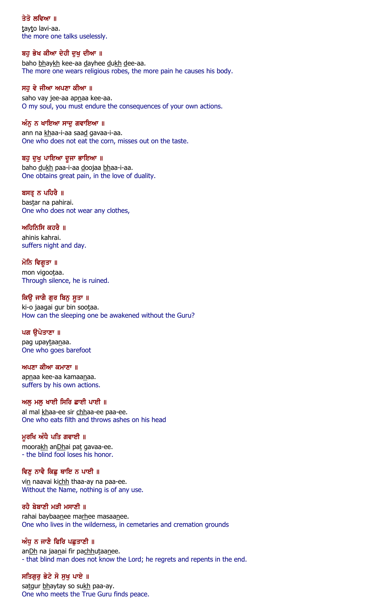### ਤੇਤੋ ਲਵਿਆ ॥

tayto lavi-aa. the more one talks uselessly.

### ਬਹੁ ਭੇਖ ਕੀਆ ਦੇਹੀ ਦੁਖੁ ਦੀਆ ॥

baho bhaykh kee-aa dayhee dukh dee-aa. The more one wears religious robes, the more pain he causes his body.

### ਸਹ ਵੇ ਜੀਆ ਅਪਣਾ ਕੀਆ ॥

saho vay jee-aa apnaa kee-aa. O my soul, you must endure the consequences of your own actions.

### ਅੰਨ ਨ ਖਾਇਆ ਸਾਦ ਗਵਾਇਆ ॥

ann na khaa-i-aa saad gavaa-i-aa. One who does not eat the corn, misses out on the taste.

### ਬਹੁ ਦੁਖੁ ਪਾਇਆ ਦੂਜਾ ਭਾਇਆ ॥

baho dukh paa-i-aa doojaa bhaa-i-aa. One obtains great pain, in the love of duality.

### ਬਸਤ੍ਰ ਨ ਪਹਿਰੈ ॥

bastar na pahirai. One who does not wear any clothes,

### ਅਹਿਨਿਸਿ ਕਹਰੈ $\,$  ॥

ahinis kahrai. suffers night and day.

ਮੋਨਿ ਵਿਗੁਤਾ ॥ mon vigootaa. Through silence, he is ruined.

### ਕਿਉ ਜਾਗੈ ਗੁਰ ਬਿਨੁ ਸੁਤਾ ॥

ki-o jaagai gur bin sootaa. How can the sleeping one be awakened without the Guru?

### ਪਗ ੳਪੇਤਾਣਾ ॥

pag upaytaanaa. One who goes barefoot

### ਅਪਣਾ ਕੀਆ ਕਮਾਣਾ ॥

apnaa kee-aa kamaanaa. suffers by his own actions.

# ਅਲੂ ਮਲੂ ਖਾਈ ਸਿਰਿ ਛਾਈ ਪਾਈ ॥

al mal khaa-ee sir chhaa-ee paa-ee. One who eats filth and throws ashes on his head

# ਮੁਰਖਿ ਅੰਧੈ ਪਤਿ ਗਵਾਈ ॥

moorakh anDhai pat gavaa-ee. - the blind fool loses his honor.

# ਵਿਣੁ ਨਾਵੈ ਕਿਛੁ ਥਾਇ ਨ ਪਾਈ ॥

vin naavai kichh thaa-ay na paa-ee. Without the Name, nothing is of any use.

### ਰਹੈ ਬੇਬਾਣੀ ਮੜੀ ਮਸਾਣੀ ॥

rahai baybaanee marhee masaanee. One who lives in the wilderness, in cemetaries and cremation grounds

### ਅੰਧ ਨ ਜਾਣੈ ਫਿਰਿ ਪਛਤਾਣੀ ॥

anDh na jaanai fir pachhutaanee. - that blind man does not know the Lord; he regrets and repents in the end.

# ਸਤਿਗਰ ਭੇਟੇ ਸੋ ਸਖ ਪਾਏ ॥

satgur bhaytay so sukh paa-ay. One who meets the True Guru finds peace.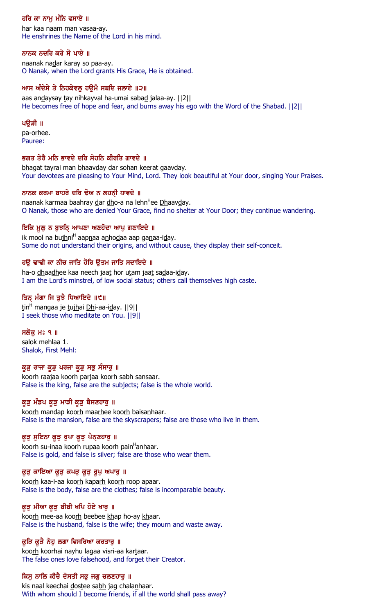# ਹਰਿ ਕਾ ਨਾਮੂ ਮੰਨਿ ਵਸਾਏ ॥

har kaa naam man vasaa-ay. He enshrines the Name of the Lord in his mind.

### ਨਾਨਕ ਨਦਰਿ ਕਰੇ ਸੋ ਪਾਏ ॥

naanak nadar karay so paa-ay. O Nanak, when the Lord grants His Grace, He is obtained.

### ਆਸ ਅੰਦੇਸੇ ਤੇ ਨਿਹਕੇਵਲ ਹੳਮੈ ਸਬਦਿ ਜਲਾਏ ॥੨॥

aas andaysay tay nihkayval ha-umai sabad jalaa-ay. ||2|| He becomes free of hope and fear, and burns away his ego with the Word of the Shabad. ||2||

### ਪੳੜੀ ॥

pa-orhee. Pauree:

### ਭਗਤ ਤੇਰੈ ਮਨਿ ਭਾਵਦੇ ਦਰਿ ਸੋਹਨਿ ਕੀਰਤਿ ਗਾਵਦੇ ॥

bhagat tayrai man bhaavday dar sohan keerat gaavday. Your devotees are pleasing to Your Mind, Lord. They look beautiful at Your door, singing Your Praises.

### ਨਾਨਕ ਕਰਮਾ ਬਾਹਰੇ ਦਰਿ ਢੋਅ ਨ ਲਹਨੀ ਧਾਵਦੇ ॥

naanak karmaa baahray <u>d</u>ar <u>dh</u>o-a na lehn<sup>H</sup>ee <u>Dh</u>aav<u>d</u>ay. O Nanak, those who are denied Your Grace, find no shelter at Your Door; they continue wandering.

# ਇਕਿ ਮੁਲੂ ਨ ਬੁਝਨਿ੍ ਆਪਣਾ ਅਣਹੋਦਾ ਆਪੁ ਗਣਾਇਦੇ ॥

ik mool na buj<u>h</u>ni<sup>H</sup> aap<u>n</u>aa a<u>n</u>ho<u>d</u>aa aap ga<u>n</u>aa-i<u>d</u>ay. Some do not understand their origins, and without cause, they display their self-conceit.

# ਹਉ ਢਾਢੀ ਕਾ ਨੀਚ ਜਾਤਿ ਹੋਰਿ ਉਤਮ ਜਾਤਿ ਸਦਾਇਦੇ ॥

ha-o dhaadhee kaa neech jaat hor utam jaat sadaa-iday. I am the Lord's minstrel, of low social status; others call themselves high caste.

### ਤਿਨ੍ ਮੰਗਾ ਜਿ ਤੁਝੈ ਧਿਆਇਦੇ ॥੯॥

<u>t</u>in<sup>H</sup> mangaa je <u>tujh</u>ai <u>Dh</u>i-aa-i<u>d</u>ay. ||9|| I seek those who meditate on You. ||9||

### ਸਲੋਕ ਮਃ ੧ ॥

salok mehlaa 1. Shalok, First Mehl:

### ਕੁੜੂ ਰਾਜਾ ਕੁੜੂ ਪਰਜਾ ਕੁੜੂ ਸਭੂ ਸੰਸਾਰੂ ॥

koorh raajaa koorh parjaa koorh sabh sansaar. False is the king, false are the subjects; false is the whole world.

# ਕੁੜੂ ਮੰਡਪ ਕੁੜੂ ਮਾੜੀ ਕੁੜੂ ਬੈਸਣਹਾਰੂ ॥

koorh mandap koorh maarhee koorh baisanhaar. False is the mansion, false are the skyscrapers; false are those who live in them.

# ਕੁੜੂ ਸੁਇਨਾ ਕੁੜੂ ਰੁਪਾ ਕੁੜੂ ਪੈਨ੍ਣਹਾਰੂ ॥

koo<u>rh</u> su-inaa koo<u>rh</u> rupaa koo<u>rh</u> pain<sup>H</sup>a<u>n</u>haar. False is gold, and false is silver; false are those who wear them.

### ਕੁੜੂ ਕਾਇਆ ਕੁੜੂ ਕਪੜੂ ਕੁੜੂ ਰੁਪੂ ਅਪਾਰੂ ॥

koorh kaa-i-aa koorh kaparh koorh roop apaar. False is the body, false are the clothes; false is incomparable beauty.

### ਕੁੜੂ ਮੀਆ ਕੁੜੂ ਬੀਬੀ ਖਪਿ ਹੋਏ ਖਾਰੂ ॥

koorh mee-aa koorh beebee khap ho-ay khaar. False is the husband, false is the wife; they mourn and waste away.

### ਕੁੜਿ ਕੁੜੈ ਨੇਹੁ ਲਗਾ ਵਿਸਰਿਆ ਕਰਤਾਰੁ ॥

koorh koorhai nayhu lagaa visri-aa kartaar. The false ones love falsehood, and forget their Creator.

# ਕਿਸ ਨਾਲਿ ਕੀਚੈ ਦੋਸਤੀ ਸਭ ਜਗ ਚਲਣਹਾਰ ॥

kis naal keechai dostee sabh jag chalanhaar. With whom should I become friends, if all the world shall pass away?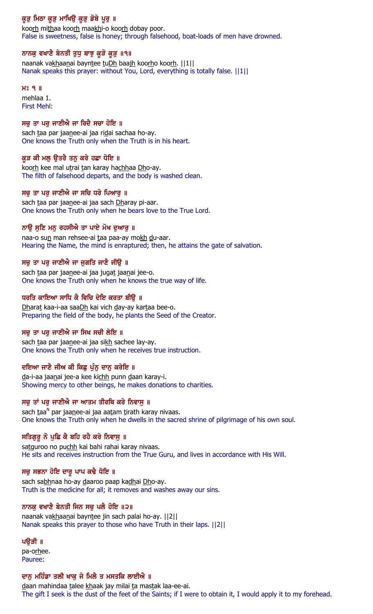# ਕੁੜੂ ਮਿਠਾ ਕੁੜੂ ਮਾਖਿਉ ਕੁੜੂ ਡੋਬੇ ਪੁਰੂ ॥

koorh mithaa koorh maakhi-o koorh dobay poor. False is sweetness, false is honey; through falsehood, boat-loads of men have drowned.

### ਨਾਨਕੁ ਵਖਾਣੈ ਬੇਨਤੀ ਤੁਧੁ ਬਾਝੁ ਕੂੜੋ ਕੂੜੁ ॥੧॥

naanak vakhaanai bayntee tuDh baajh koorho koorh. ||1|| Nanak speaks this prayer: without You, Lord, everything is totally false. ||1||

#### $H<sup>o</sup>$   $I<sub>II</sub>$

mehlaa 1. First Mehl:

### ਸਚ ਤਾ ਪਰ ਜਾਣੀਐ ਜਾ ਰਿਦੈ ਸਚਾ ਹੋਇ ॥

sach taa par jaanee-ai jaa ridai sachaa ho-ay. One knows the Truth only when the Truth is in his heart.

### ਕੁੜ ਕੀ ਮਲੁ ਉਤਰੈ ਤਨੁ ਕਰੇ ਹਛਾ ਧੋਇ ॥

koorh kee mal utrai tan karay hachhaa Dho-ay. The filth of falsehood departs, and the body is washed clean.

### ਸਚੁ ਤਾ ਪਰੁ ਜਾਣੀਐ ਜਾ ਸਚਿ ਧਰੇ ਪਿਆਰੁ ॥

sach taa par jaanee-ai jaa sach Dharay pi-aar. One knows the Truth only when he bears love to the True Lord.

### ਨਾਉ ਸੁਣਿ ਮਨੁ ਰਹਸੀਐ ਤਾ ਪਾਏ ਮੋਖ ਦੁਆਰੁ ॥

naa-o sun man rehsee-ai taa paa-ay mokh du-aar. Hearing the Name, the mind is enraptured; then, he attains the gate of salvation.

### ਸਚੂ ਤਾ ਪਰੂ ਜਾਣੀਐ ਜਾ ਜੁਗਤਿ ਜਾਣੈ ਜੀਉ ॥

sach taa par jaanee-ai jaa jugat jaanai jee-o. One knows the Truth only when he knows the true way of life.

### ਧਰਤਿ ਕਾਇਆ ਸਾਧਿ ਕੈ ਵਿਚਿ ਦੇਇ ਕਰਤਾ ਬੀੳ ॥

Dharat kaa-i-aa saaDh kai vich day-ay kartaa bee-o. Preparing the field of the body, he plants the Seed of the Creator.

### ਸਚ ਤਾ ਪਰ ਜਾਣੀਐ ਜਾ ਸਿਖ ਸਚੀ ਲੇਇ ॥

sach taa par jaanee-ai jaa sikh sachee lay-ay. One knows the Truth only when he receives true instruction.

# ਦਇਆ ਜਾਣੈ ਜੀਅ ਕੀ ਕਿਛੂ ਪੁੰਨੂ ਦਾਨੂ ਕਰੇਇ ॥

da-i-aa jaanai jee-a kee kichh punn daan karay-i. Showing mercy to other beings, he makes donations to charities.

### ਸਚੁ ਤਾਂ ਪਰੁ ਜਾਣੀਐ ਜਾ ਆਤਮ ਤੀਰਥਿ ਕਰੇ ਨਿਵਾਸੁ ॥

sach <u>t</u>aa<sup>n</sup> par jaa<u>n</u>ee-ai jaa aa<u>t</u>am <u>t</u>irath karay nivaas. One knows the Truth only when he dwells in the sacred shrine of pilgrimage of his own soul.

# ਸਤਿਗੁਰੂ ਨੋ ਪੁਛਿ ਕੈ ਬਹਿ ਰਹੈ ਕਰੇ ਨਿਵਾਸੁ ॥

satguroo no puchh kai bahi rahai karay nivaas. He sits and receives instruction from the True Guru, and lives in accordance with His Will.

### ਸਚੂ ਸਭਨਾ ਹੋਇ ਦਾਰੂ ਪਾਪ ਕਢੈ ਧੋਇ ॥

sach sabhnaa ho-ay daaroo paap kadhai Dho-ay. Truth is the medicine for all; it removes and washes away our sins.

### ਨਾਨਕ ਵਖਾਣੇ ਬੇਨਤੀ ਜਿਨ ਸਚੂ ਪਲੈ ਹੋਇ ॥੨॥

naanak vakhaanai bayntee jin sach palai ho-ay. ||2|| Nanak speaks this prayer to those who have Truth in their laps. ||2||

### ਪੳੜੀ ॥

pa-orhee. Pauree:

### ਦਾਨ ਮਹਿੰਡਾ ਤਲੀ ਖਾਕ ਜੇ ਮਿਲੈ ਤ ਮਸਤਕਿ ਲਾਈਐ ॥

daan mahindaa talee khaak jay milai ta mastak laa-ee-ai. The gift I seek is the dust of the feet of the Saints; if I were to obtain it, I would apply it to my forehead.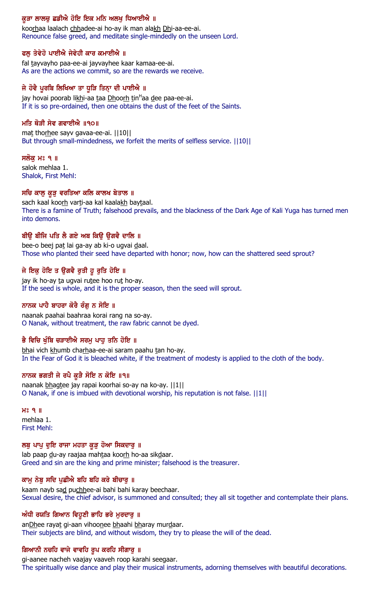# ਕੁੜਾ ਲਾਲਚੂ ਛਡੀਐ ਹੋਇ ਇਕ ਮਨਿ ਅਲਖੂ ਧਿਆਈਐ ॥

koorhaa laalach chhadee-ai ho-ay ik man alakh Dhi-aa-ee-ai. Renounce false greed, and meditate single-mindedly on the unseen Lord.

#### ਫਲੂ ਤੇਵੇਹੋ ਪਾਈਐ ਜੇਵੇਹੀ ਕਾਰ ਕਮਾਈਐ ॥

fal tayvayho paa-ee-ai jayvayhee kaar kamaa-ee-ai. As are the actions we commit, so are the rewards we receive.

### ਜੇ ਹੋਵੈ ਪੂਰਬਿ ਲਿਖਿਆ ਤਾ ਧੁੜਿ ਤਿਨ੍ਹਾ ਦੀ ਪਾਈਐ ॥

jay hovai poorab li<u>kh</u>i-aa <u>t</u>aa <u>Dh</u>oo<u>rh</u> tin<sup>H</sup>aa <u>d</u>ee paa-ee-ai. If it is so pre-ordained, then one obtains the dust of the feet of the Saints.

#### ਮਤਿ ਥੋੜੀ ਸੇਵ ਗਵਾਈਐ ॥੧੦॥

mat thorhee sayv gavaa-ee-ai. ||10|| But through small-mindedness, we forfeit the merits of selfless service. ||10||

#### ਸਲੱਕੁ ਮਃ ੧ ॥

salok mehlaa 1. Shalok, First Mehl:

# ਸਚਿ ਕਾਲੁ ਕੁੜੁ ਵਰਤਿਆ ਕਲਿ ਕਾਲਖ ਬੇਤਾਲ ॥

sach kaal koorh varti-aa kal kaalakh baytaal. There is a famine of Truth; falsehood prevails, and the blackness of the Dark Age of Kali Yuga has turned men into demons.

#### ਬੀਉ ਬੀਜਿ ਪਤਿ ਲੈ ਗਏ ਅਬ ਕਿਉ ਉਗਵੈ ਦਾਲਿ ॥

bee-o beej pat lai ga-ay ab ki-o ugvai daal. Those who planted their seed have departed with honor; now, how can the shattered seed sprout?

### ਜੇ ਇਕੁ ਹੋਇ ਤ ਉਗਵੈ ਰੁਤੀ ਹੁ ਰੁਤਿ ਹੋਇ ॥

jay ik ho-ay ta ugvai rutee hoo rut ho-ay. If the seed is whole, and it is the proper season, then the seed will sprout.

#### ਨਾਨਕ ਪਾਹੈ ਬਾਹਰਾ ਕੋਰੈ ਰੰਗੂ ਨ ਸੋਇ ॥

naanak paahai baahraa korai rang na so-ay. O Nanak, without treatment, the raw fabric cannot be dyed.

### ਭੈ ਵਿਚਿ ਖੁੰਬਿ ਚੜਾਈਐ ਸਰਮੂ ਪਾਹੂ ਤਨਿ ਹੋਇ ॥

bhai vich khumb charhaa-ee-ai saram paahu tan ho-ay. In the Fear of God it is bleached white, if the treatment of modesty is applied to the cloth of the body.

#### ਨਾਨਕ ਭਗਤੀ ਜੇ ਰਪੈ ਕੁੜੈ ਸੋਇ ਨ ਕੋਇ ॥੧॥

naanak bhagtee jay rapai koorhai so-ay na ko-ay. ||1|| O Nanak, if one is imbued with devotional worship, his reputation is not false. ||1||

H<sub>2</sub> 9 || mehlaa 1. First Mehl:

#### ਲਬੂ ਪਾਪੂ ਦੁਇ ਰਾਜਾ ਮਹਤਾ ਕੁੜੂ ਹੋਆ ਸਿਕਦਾਰੂ ॥

lab paap du-ay raajaa mahtaa koorh ho-aa sikdaar. Greed and sin are the king and prime minister; falsehood is the treasurer.

#### ਕਾਮੂ ਨੇਬੂ ਸਦਿ ਪੁਛੀਐ ਬਹਿ ਬਹਿ ਕਰੇ ਬੀਚਾਰੂ ॥

kaam nayb sad puchhee-ai bahi bahi karay beechaar. Sexual desire, the chief advisor, is summoned and consulted; they all sit together and contemplate their plans.

#### ਅੰਧੀ ਰਯਤਿ ਗਿਆਨ ਵਿਹੁਣੀ ਭਾਹਿ ਭਰੇ ਮੁਰਦਾਰੁ ॥

anDhee rayat gi-aan vihoonee bhaahi bharay murdaar. Their subjects are blind, and without wisdom, they try to please the will of the dead.

#### ਗਿਆਨੀ ਨਚਹਿ ਵਾਜੇ ਵਾਵਹਿ ਰੁਪ ਕਰਹਿ ਸੀਗਾਰੂ ॥

gi-aanee nacheh vaajay vaaveh roop karahi seegaar. The spiritually wise dance and play their musical instruments, adorning themselves with beautiful decorations.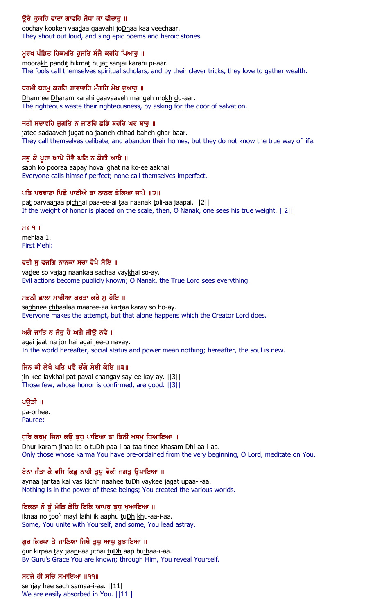# ਉਚੇ ਕੁਕਹਿ ਵਾਦਾ ਗਾਵਹਿ ਜੋਧਾ ਕਾ ਵੀਚਾਰੂ ॥

oochay kookeh vaadaa gaavahi joDhaa kaa veechaar. They shout out loud, and sing epic poems and heroic stories.

### ਮੁਰਖ ਪੰਡਿਤ ਹਿਕਮਤਿ ਹੁਜਤਿ ਸੰਜੈ ਕਰਹਿ ਪਿਆਰੂ ॥

moorakh pandit hikmat hujat sanjai karahi pi-aar. The fools call themselves spiritual scholars, and by their clever tricks, they love to gather wealth.

# ਧਰਮੀ ਧਰਮੁ ਕਰਹਿ ਗਾਵਾਵਹਿ ਮੰਗਹਿ ਮੋਖ ਦੁਆਰੁ ॥

Dharmee Dharam karahi gaavaaveh mangeh mokh du-aar. The righteous waste their righteousness, by asking for the door of salvation.

### ਜਤੀ ਸਦਾਵਹਿ ਜਗਤਿ ਨ ਜਾਣਹਿ ਛਡਿ ਬਹਹਿ ਘਰ ਬਾਰ ॥

jatee sadaaveh jugat na jaaneh chhad baheh ghar baar. They call themselves celibate, and abandon their homes, but they do not know the true way of life.

# ਸਭੁ ਕੋ ਪੂਰਾ ਆਪੇ ਹੋਵੈ ਘਟਿ ਨ ਕੋਈ ਆਖੈ ॥

sabh ko pooraa aapay hovai ghat na ko-ee aakhai. Everyone calls himself perfect; none call themselves imperfect.

### ਪਤਿ ਪਰਵਾਣਾ ਪਿਛੈ ਪਾਈਐ ਤਾ ਨਾਨਕ ਤੋਲਿਆ ਜਾਪੈ ॥੨॥

pat parvaanaa pichhai paa-ee-ai taa naanak toli-aa jaapai. [[2]] If the weight of honor is placed on the scale, then, O Nanak, one sees his true weight. ||2||

### H<sub>2</sub> 9 ||

mehlaa 1. First Mehl:

### ਵਦੀ ਸੁ ਵਜਗਿ ਨਾਨਕਾ ਸਚਾ ਵੇਖੈ ਸੋਇ ॥

vadee so vajag naankaa sachaa vaykhai so-ay. Evil actions become publicly known; O Nanak, the True Lord sees everything.

### ਸਭਨੀ ਛਾਲਾ ਮਾਰੀਆ ਕਰਤਾ ਕਰੇ ਸੁ ਹੋਇ ॥

sabhnee chhaalaa maaree-aa kartaa karay so ho-ay. Everyone makes the attempt, but that alone happens which the Creator Lord does.

# ਅਗੈ ਜਾਤਿ ਨ ਜੋਰ ਹੈ ਅਗੈ ਜੀੳ ਨਵੇ ॥

agai jaat na jor hai agai jee-o navay. In the world hereafter, social status and power mean nothing; hereafter, the soul is new.

### ਜਿਨ ਕੀ ਲੇਖੈ ਪਤਿ ਪਵੈ ਚੰਗੇ ਸੇਈ ਕੇਇ ॥੩॥

jin kee laykhai pat pavai changay say-ee kay-ay. [[3]] Those few, whose honor is confirmed, are good. ||3||

# ਪਉੜੀ ॥

pa-orhee. Pauree:

### ਧੁਰਿ ਕਰਮੂ ਜਿਨਾ ਕਉ ਤੁਧੂ ਪਾਇਆ ਤਾ ਤਿਨੀ ਖਸਮੂ ਧਿਆਇਆ ॥

Dhur karam jinaa ka-o tuDh paa-i-aa taa tinee khasam Dhi-aa-i-aa. Only those whose karma You have pre-ordained from the very beginning, O Lord, meditate on You.

### ਏਨਾ ਜੱਤਾ ਕੇ ਵਸਿ ਕਿਛੂ ਨਾਹੀ ਤੁਧੂ ਵੇਕੀ ਜਗਤੂ ਉਪਾਇਆ ।।

aynaa jantaa kai vas kichh naahee tuDh vaykee jagat upaa-i-aa. Nothing is in the power of these beings; You created the various worlds.

### ਇਕਨਾ ਨੋ ਤੁੰ ਮੇਲਿ ਲੈਹਿ ਇਕਿ ਆਪਹੁ ਤੁਧੁ ਖੁਆਇਆ ॥

iknaa no too<sup>n</sup> mayl laihi ik aaphu tu<u>Dh kh</u>u-aa-i-aa. Some, You unite with Yourself, and some, You lead astray.

### ਗਰ ਕਿਰਪਾ ਤੇ ਜਾਣਿਆ ਜਿਥੈ ਤਧ ਆਪ ਬਝਾਇਆ ॥

gur kirpaa tay jaani-aa jithai tuDh aap bujhaa-i-aa. By Guru's Grace You are known; through Him, You reveal Yourself.

### ਸਹਜੇ ਹੀ ਸਚਿ ਸਮਾਇਆ ॥੧੧॥

sehjay hee sach samaa-i-aa. ||11|| We are easily absorbed in You.  $||11||$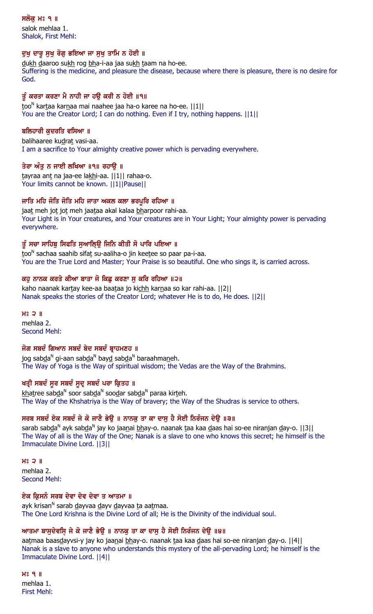ਸਲੋਕ ਮਃ ੧ ॥

salok mehlaa 1. Shalok, First Mehl:

### ਦੁਖੁ ਦਾਰੁ ਸੁਖੁ ਰੋਗੁ ਭਇਆ ਜਾ ਸੁਖੁ ਤਾਮਿ ਨ ਹੋਈ ॥

dukh daaroo sukh rog bha-i-aa jaa sukh taam na ho-ee. Suffering is the medicine, and pleasure the disease, because where there is pleasure, there is no desire for God.

# ਤੂੰ ਕਰਤਾ ਕਰਣਾ ਮੈ ਨਾਹੀ ਜਾ ਹਉ ਕਰੀ ਨ ਹੋਈ ॥੧॥

too<sup>n</sup> kar<u>t</u>aa kar<u>n</u>aa mai naahee jaa ha-o karee na ho-ee. [[1][ You are the Creator Lord; I can do nothing. Even if I try, nothing happens.  $||1||$ 

# ਬਲਿਹਾਰੀ ਕਦਰਤਿ ਵਸਿਆ ॥

balihaaree kudrat vasi-aa. I am a sacrifice to Your almighty creative power which is pervading everywhere.

### ਤੇਰਾ ਅੰਤ ਨ ਜਾਈ ਲਖਿਆ ॥੧॥ ਰਹਾੳ ॥

tayraa ant na jaa-ee lakhi-aa. ||1|| rahaa-o. Your limits cannot be known. ||1||Pause||

### ਜਾਤਿ ਮਹਿ ਜੋਤਿ ਜੋਤਿ ਮਹਿ ਜਾਤਾ ਅਕਲ ਕਲਾ ਭਰਪੁਰਿ ਰਹਿਆ ॥

jaat meh jot jot meh jaataa akal kalaa bharpoor rahi-aa. Your Light is in Your creatures, and Your creatures are in Your Light; Your almighty power is pervading everywhere.

# ਤੂੰ ਸਚਾ ਸਾਹਿਬੁ ਸਿਫਤਿ ਸੁਆਲਿ੍ਉ ਜਿਨਿ ਕੀਤੀ ਸੋ ਪਾਰਿ ਪਇਆ ॥

<u>t</u>oo<sup>n</sup> sachaa saahib sifa<u>t</u> su-aaliha-o jin kee<u>t</u>ee so paar pa-i-aa. You are the True Lord and Master; Your Praise is so beautiful. One who sings it, is carried across.

### ਕਹੁ ਨਾਨਕ ਕਰਤੇ ਕੀਆ ਬਾਤਾ ਜੋ ਕਿਛੂ ਕਰਣਾ ਸੁ ਕਰਿ ਰਹਿਆ ॥੨॥

kaho naanak kartay kee-aa baataa jo kichh karnaa so kar rahi-aa. [[2]] Nanak speaks the stories of the Creator Lord; whatever He is to do, He does. ||2||

 $H<sub>0</sub>$  2  $\parallel$ mehlaa 2. Second Mehl:

# ਜੋਗ ਸਬਦੰ ਗਿਆਨ ਸਬਦੰ ਬੇਦ ਸਬਦੰ ਬਾਹਮਣਹ ॥

jog sab<u>d</u>a<sup>n</sup> gi-aan sab<u>d</u>a<sup>n</sup> bay<u>d</u> sab<u>d</u>a<sup>n</sup> baraahma<u>n</u>eh. The Way of Yoga is the Way of spiritual wisdom; the Vedas are the Way of the Brahmins.

# ਖਤ੍ਰੀ ਸਬਦੰ ਸੁਰ ਸਬਦੰ ਸੁਦ੍ਰ ਸਬਦੰ ਪਰਾ ਕ੍ਰਿਤਹ **॥**

<u>kh</u>aṯree sab<u>d</u>a<sup>N</sup> soor sab<u>d</u>a<sup>N</sup> soo<u>d</u>ar sab<u>d</u>a<sup>N</sup> paraa kirṯeh. The Way of the Khshatriya is the Way of bravery; the Way of the Shudras is service to others.

# ਸਰਬ ਸਬਦੰ ਏਕ ਸਬਦੰ ਜੇ ਕੋ ਜਾਣੈ ਭੇਉ ॥ ਨਾਨਕੁ ਤਾ ਕਾ ਦਾਸੁ ਹੈ ਸੋਈ ਨਿਰੰਜਨ ਦੇਉ ॥੩॥

sarab sabda<sup>n</sup> ayk sabda<sup>n</sup> jay ko jaa<u>n</u>ai <u>bh</u>ay-o. naanak taa kaa daas hai so-ee niranjan day-o. ||3|| The Way of all is the Way of the One; Nanak is a slave to one who knows this secret; he himself is the Immaculate Divine Lord. ||3||

 $H<sup>o</sup>$  2  $\parallel$ mehlaa 2. Second Mehl:

### ਏਕ ਕ੍ਰਿਸਨੰ ਸਰਬ ਦੇਵਾ ਦੇਵ ਦੇਵਾ ਤ ਆਤਮਾ ॥

ayk krisan<sup>n</sup> sarab <u>d</u>ayvaa <u>d</u>ayv <u>d</u>ayvaa <u>t</u>a aa<u>t</u>maa. The One Lord Krishna is the Divine Lord of all; He is the Divinity of the individual soul.

# ਆਤਮਾ ਬਾਸੁਦੇਵਸਿ਼ ਜੇ ਕੋ ਜਾਣੈ ਭੇਉ ॥ ਨਾਨਕੁ ਤਾ ਕਾ ਦਾਸੁ ਹੈ ਸੋਈ ਨਿਰੰਜਨ ਦੇਉ ॥੪॥

aatmaa baasdayvsi-y jay ko jaanai bhay-o. naanak taa kaa daas hai so-ee niranjan day-o. [[4]] Nanak is a slave to anyone who understands this mystery of the all-pervading Lord; he himself is the Immaculate Divine Lord. ||4||

 $H<sub>8</sub>$   $Q<sub>1</sub>$ mehlaa 1. First Mehl: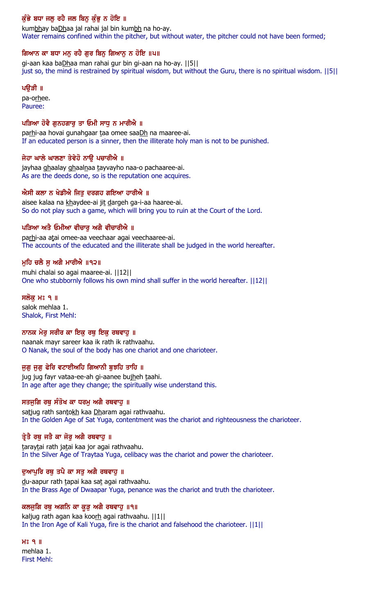# ਕੁੰਭੇ ਬਧਾ ਜਲੂ ਰਹੈ ਜਲ ਬਿਨੂ ਕੁੰਭੂ ਨ ਹੋਇ ॥

kumbhay baDhaa jal rahai jal bin kumbh na ho-ay. Water remains confined within the pitcher, but without water, the pitcher could not have been formed;

# ਗਿਆਨ ਕਾ ਬਧਾ ਮਨੁ ਰਹੈ ਗੁਰ ਬਿਨੁ ਗਿਆਨੁ ਨ ਹੋਇ ॥੫॥

gi-aan kaa baDhaa man rahai gur bin gi-aan na ho-ay. ||5|| just so, the mind is restrained by spiritual wisdom, but without the Guru, there is no spiritual wisdom. ||5||

### ਪੳੜੀ ॥

pa-orhee. Pauree:

# ਪੜਿਆ ਹੋਵੈ ਗਨਹਗਾਰ ਤਾ ਓਮੀ ਸਾਧ ਨ ਮਾਰੀਐ ॥

parhi-aa hovai gunahgaar taa omee saaDh na maaree-ai. If an educated person is a sinner, then the illiterate holy man is not to be punished.

### ਜੇਹਾ ਘਾਲੇ ਘਾਲਣਾ ਤੇਵੇਹੋ ਨਾਉ ਪਚਾਰੀਐ ॥

jayhaa ghaalay ghaalnaa tayvayho naa-o pachaaree-ai. As are the deeds done, so is the reputation one acquires.

### ਐਸੀ ਕਲਾ ਨ ਖੇਡੀਐ ਜਿਤੂ ਦਰਗਹ ਗਇਆ ਹਾਰੀਐ ॥

aisee kalaa na khaydee-ai jit dargeh ga-i-aa haaree-ai. So do not play such a game, which will bring you to ruin at the Court of the Lord.

# ਪੜਿਆ ਅਤੈ ਓਮੀਆ ਵੀਚਾਰੂ ਅਗੈ ਵੀਚਾਰੀਐ ॥

parhi-aa atai omee-aa veechaar agai veechaaree-ai. The accounts of the educated and the illiterate shall be judged in the world hereafter.

### ਮੁਹਿ ਚਲੈ ਸੂ ਅਗੈ ਮਾਰੀਐ ॥੧੨॥

muhi chalai so agai maaree-ai. ||12|| One who stubbornly follows his own mind shall suffer in the world hereafter. ||12||

### ਸਲੋਕੁ ਮਃ ੧ ॥

salok mehlaa 1. Shalok, First Mehl:

# ਨਾਨਕ ਮੇਰੂ ਸਰੀਰ ਕਾ ਇਕੁ ਰਥੁ ਇਕੁ ਰਥਵਾਹੂ ॥

naanak mayr sareer kaa ik rath ik rathvaahu. O Nanak, the soul of the body has one chariot and one charioteer.

### ਜੁਗੁ ਜੁਗੁ ਫੇਰਿ ਵਟਾਈਅਹਿ ਗਿਆਨੀ ਬੁਝਹਿ ਤਾਹਿ ॥

jug jug fayr vataa-ee-ah gi-aanee bujheh taahi. In age after age they change; the spiritually wise understand this.

### ਸਤਜੁਗਿ ਰਥੂ ਸੰਤੋਖ ਕਾ ਧਰਮੂ ਅਗੈ ਰਥਵਾਹੂ ॥

satjug rath santokh kaa Dharam agai rathvaahu. In the Golden Age of Sat Yuga, contentment was the chariot and righteousness the charioteer.

# ਤ੍ਰੇਤੈ ਰਥੂ ਜਤੈ ਕਾ ਜੋਰੂ ਅਗੈ ਰਥਵਾਹੂ ॥

taraytai rath jatai kaa jor agai rathvaahu. In the Silver Age of Traytaa Yuga, celibacy was the chariot and power the charioteer.

### ਦੁਆਪੁਰਿ ਰਥੂ ਤਪੈ ਕਾ ਸਤੂ ਅਗੈ ਰਥਵਾਹੂ ॥

du-aapur rath tapai kaa sat agai rathvaahu. In the Brass Age of Dwaapar Yuga, penance was the chariot and truth the charioteer.

### ਕਲਜੁਗਿ ਰਥੂ ਅਗਨਿ ਕਾ ਕੁੜੂ ਅਗੈ ਰਥਵਾਹੁ ॥੧॥

kaljug rath agan kaa koorh agai rathvaahu. | | 1 | | In the Iron Age of Kali Yuga, fire is the chariot and falsehood the charioteer. ||1||

# $H<sup>o</sup>$   $9$   $\parallel$

mehlaa 1. First Mehl: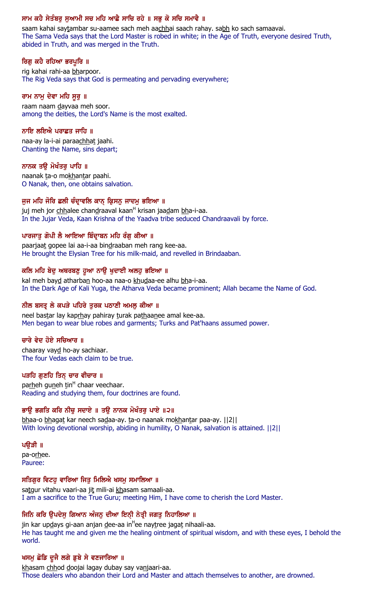# ਸਾਮ ਕਹੈ ਸੇਤੰਬਰੂ ਸੁਆਮੀ ਸਚ ਮਹਿ ਆਛੈ ਸਾਚਿ ਰਹੇ ॥ ਸਭੂ ਕੋ ਸਚਿ ਸਮਾਵੈ ॥

saam kahai saytambar su-aamee sach meh aachhai saach rahay. sabh ko sach samaavai. The Sama Veda says that the Lord Master is robed in white; in the Age of Truth, everyone desired Truth, abided in Truth, and was merged in the Truth.

# ਰਿਗ ਕਹੈ ਰਹਿਆ ਭਰਪੁਰਿ ॥

rig kahai rahi-aa bharpoor. The Rig Veda says that God is permeating and pervading everywhere;

### ਰਾਮ ਨਾਮੂ ਦੇਵਾ ਮਹਿ ਸੁਰੂ ॥

raam naam dayvaa meh soor. among the deities, the Lord's Name is the most exalted.

### ਨਾਇ ਲਇਐ ਪਰਾਛਤ ਜਾਹਿ ॥

naa-ay la-i-ai paraachhat jaahi. Chanting the Name, sins depart;

### ਨਾਨਕ ਤਉ ਮੋਖੰਤਰ ਪਾਹਿ ॥

naanak ta-o mokhantar paahi. O Nanak, then, one obtains salvation.

### ਜੁਜ ਮਹਿ ਜੋਰਿ ਛਲੀ ਚੰਦ੍ਰਾਵਲਿ ਕਾਨ੍ ਕ੍ਰਿਸਨੁ ਜਾਦਮੁ ਭਇਆ ॥

juj meh jor <u>chh</u>alee chan<u>d</u>raaval kaan<sup>H</sup> krisan jaa<u>d</u>am <u>bh</u>a-i-aa. In the Jujar Veda, Kaan Krishna of the Yaadva tribe seduced Chandraavali by force.

### ਪਾਰਜਾਤੂ ਗੋਪੀ ਲੈ ਆਇਆ ਬਿੰਦ੍ਰਾਬਨ ਮਹਿ ਰੰਗੂ ਕੀਆ ॥

paarjaat gopee lai aa-i-aa bindraaban meh rang kee-aa. He brought the Elysian Tree for his milk-maid, and revelled in Brindaaban.

### ਕਲਿ ਮਹਿ ਬੇਦੁ ਅਥਰਬਣੁ ਹੁਆ ਨਾਉ ਖੁਦਾਈ ਅਲਹੁ ਭਇਆ ॥

kal meh bayd atharban hoo-aa naa-o khudaa-ee alhu bha-i-aa. In the Dark Age of Kali Yuga, the Atharva Veda became prominent; Allah became the Name of God.

### ਨੀਲ ਬਸਤ੍ਰ ਲੇ ਕਪੜੇ ਪਹਿਰੇ ਤੁਰਕ ਪਠਾਣੀ ਅਮਲੁ ਕੀਆ ॥

neel bastar lay kaprhay pahiray turak pathaanee amal kee-aa. Men began to wear blue robes and garments; Turks and Pat'haans assumed power.

### ਚਾਰੇ ਵੇਦ ਹੋਏ ਸਚਿਆਰ ॥

chaaray vayd ho-ay sachiaar. The four Vedas each claim to be true.

### ਪੜਹਿ ਗਣਹਿ ਤਿਨ ਚਾਰ ਵੀਚਾਰ ॥

pa<u>rh</u>eh gu<u>n</u>eh tin<sup>H</sup> chaar veechaar. Reading and studying them, four doctrines are found.

# ਭਾਉ ਭਗਤਿ ਕਰਿ ਨੀਚੁ ਸਦਾਏ ॥ ਤਉ ਨਾਨਕ ਮੋਖੰਤਰੁ ਪਾਏ ॥੨॥

bhaa-o bhagat kar neech sadaa-ay. ta-o naanak mokhantar paa-ay. [[2]] With loving devotional worship, abiding in humility, O Nanak, salvation is attained. ||2||

### ਪਉੜੀ ॥

pa-orhee. Pauree:

# ਸਤਿਗੁਰ ਵਿਟਹੁ ਵਾਰਿਆ ਜਿਤੁ ਮਿਲਿਐ ਖਸਮੁ ਸਮਾਲਿਆ ॥

satgur vitahu vaari-aa jit mili-ai khasam samaali-aa. I am a sacrifice to the True Guru; meeting Him, I have come to cherish the Lord Master.

# ਜਿਨਿ ਕਰਿ ਉਪਦੇਸ਼ ਗਿਆਨ ਅੰਜਨ ਦੀਆ ਇਨੀ ਨੇਤੀ ਜਗਤੂ ਨਿਹਾਲਿਆ **॥**

jin kar up<u>d</u>ays gi-aan anjan <u>d</u>ee-aa in<sup>H</sup>ee naytree jagat nihaali-aa. He has taught me and given me the healing ointment of spiritual wisdom, and with these eyes, I behold the world.

### ਖਸਮੂ ਛੋਡਿ ਦੂਜੈ ਲਗੇ ਡੁਬੇ ਸੇ ਵਣਜਾਰਿਆ ॥

khasam chhod doojai lagay dubay say vanjaari-aa. Those dealers who abandon their Lord and Master and attach themselves to another, are drowned.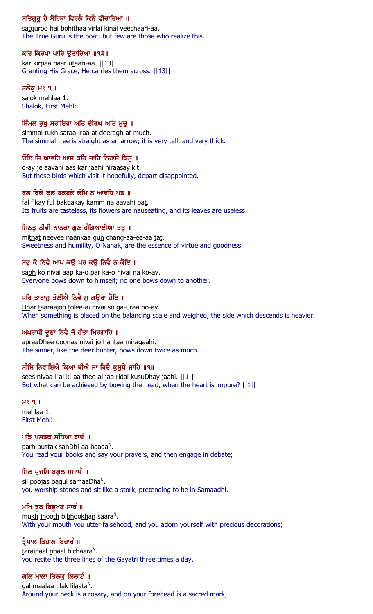# ਸਤਿਗੁਰੂ ਹੈ ਬੋਹਿਥਾ ਵਿਰਲੈ ਕਿਨੈ ਵੀਚਾਰਿਆ ॥

satguroo hai bohithaa virlai kinai veechaari-aa. The True Guru is the boat, but few are those who realize this.

### ਕਰਿ ਕਿਰਪਾ ਪਾਰਿ ਉਤਾਰਿਆ ॥੧੩॥

kar kirpaa paar utaari-aa. ||13|| Granting His Grace, He carries them across. ||13||

### ਸਲੋਕ ਮਃ ੧ ॥

salok mehlaa 1. Shalok, First Mehl:

### ਸਿੰਮਲ ਰੁਖੁ ਸਰਾਇਰਾ ਅਤਿ ਦੀਰਘ ਅਤਿ ਮੁਚੁ ॥

simmal rukh saraa-iraa at deeragh at much. The simmal tree is straight as an arrow; it is very tall, and very thick.

### ਓਇ ਜਿ ਆਵਹਿ ਆਸ ਕਰਿ ਜਾਹਿ ਨਿਰਾਸੇ ਕਿਤੁ ॥

o-ay je aavahi aas kar jaahi niraasay kit. But those birds which visit it hopefully, depart disappointed.

### ਫਲ ਫਿਕੇ ਫੁਲ ਬਕਬਕੇ ਕੰਮਿ ਨ ਆਵਹਿ ਪਤ ॥

fal fikay ful bakbakay kamm na aavahi pat. Its fruits are tasteless, its flowers are nauseating, and its leaves are useless.

### ਮਿਠਤੂ ਨੀਵੀ ਨਾਨਕਾ ਗੁਣ ਚੰਗਿਆਈਆ ਤਤੁ ॥

mithat neevee naankaa gun chang-aa-ee-aa tat. Sweetness and humility, O Nanak, are the essence of virtue and goodness.

# ਸਭੁ ਕੋ ਨਿਵੈ ਆਪ ਕਉ ਪਰ ਕਉ ਨਿਵੈ ਨ ਕੋਇ ॥

sabh ko nivai aap ka-o par ka-o nivai na ko-ay. Everyone bows down to himself; no one bows down to another.

### ਧਰਿ ਤਾਰਾਜੂ ਤੋਲੀਐ ਨਿਵੈ ਸੂ ਗਉਰਾ ਹੋਇ ॥

Dhar taaraajoo tolee-ai nivai so ga-uraa ho-ay. When something is placed on the balancing scale and weighed, the side which descends is heavier.

# ਅਪਰਾਧੀ ਦੁਣਾ ਨਿਵੈ ਜੋ ਹੰਤਾ ਮਿਰਗਾਹਿ ॥

apraaDhee doonaa nivai jo hantaa miragaahi. The sinner, like the deer hunter, bows down twice as much.

### ਸੀਸਿ ਨਿਵਾਇਐ ਕਿਆ ਥੀਐ ਜਾ ਰਿਦੈ ਕੁਸੁਧੇ ਜਾਹਿ ॥੧॥

sees nivaa-i-ai ki-aa thee-ai jaa ridai kusuDhay jaahi. ||1|| But what can be achieved by bowing the head, when the heart is impure?  $||1||$ 

 $H<sub>8</sub>$   $Q<sub>1</sub>$ mehlaa 1. First Mehl:

### ਪੜਿ ਪੁਸਤਕ ਸੰਧਿਆ ਬਾਦੰ ॥

pa<u>rh</u> pus<u>t</u>ak san<u>Dh</u>i-aa baa<u>d</u>a<sup>n</sup>. You read your books and say your prayers, and then engage in debate;

### ਸਿਲ ਪੁਜਸਿ ਬਗ਼ੁਲ ਸਮਾਧੰ ॥

sil poojas bagul samaa<u>Dh</u>a<sup>n</sup>. you worship stones and sit like a stork, pretending to be in Samaadhi.

### ਮੁਖਿ ਝੂਠ ਬਿਭੁਖਣ ਸਾਰੰ ॥

mu<u>kh jh</u>oo<u>th</u> bi<u>bh</u>oo<u>khan</u> saara<sup>n</sup>. With your mouth you utter falsehood, and you adorn yourself with precious decorations;

### ਤ੍ਰੈਪਾਲ ਤਿਹਾਲ ਬਿਚਾਰੰ ॥

<u>t</u>araipaal <u>t</u>ihaal bichaara<sup>n</sup>. you recite the three lines of the Gayatri three times a day.

# ਗਲਿ ਮਾਲਾ ਤਿਲਕ ਲਿਲਾਟੰ ॥

gal maalaa tilak lilaata<sup>n</sup>. Around your neck is a rosary, and on your forehead is a sacred mark;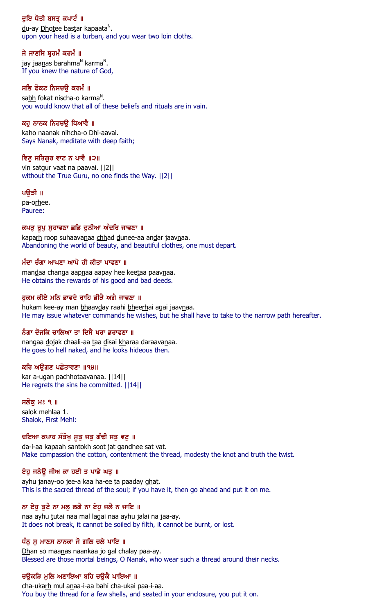# ਦੁਇ ਧੋਤੀ ਬਸਤ੍ਰ ਕਪਾਟੰ ॥

<u>d</u>u-ay <u>Dhot</u>ee bas<u>t</u>ar kapaata<sup>n</sup>. upon your head is a turban, and you wear two loin cloths.

# ਜੇ ਜਾਣਸਿ ਬ੍ਰਹਮੰ ਕਰਮੰ ॥

jay jaa<u>n</u>as barahma<sup>n</sup> karma<sup>n</sup>. If you knew the nature of God,

### ਸਭਿ ਫੋਕਟ ਨਿਸਚੳ ਕਰਮੰ ॥

sa<u>bh</u> fokat nischa-o karma<sup>n</sup>. you would know that all of these beliefs and rituals are in vain.

### ਕਹੁ ਨਾਨਕ ਨਿਹਚਉ ਧਿਆਵੈ ॥

kaho naanak nihcha-o Dhi-aavai. Says Nanak, meditate with deep faith;

### ਵਿਣੁ ਸਤਿਗੁਰ ਵਾਟ ਨ ਪਾਵੈ ॥੨॥

vin satgur vaat na paavai. | | 2 | | without the True Guru, no one finds the Way. ||2||

#### ਪਉੜੀ ॥

pa-orhee. Pauree:

### ਕਪੜ੍ਹ ਰੂਪੁ ਸੁਹਾਵਣਾ ਛਡਿ ਦੁਨੀਆ ਅੰਦਰਿ ਜਾਵਣਾ ॥

kaparh roop suhaavanaa chhad dunee-aa andar jaavnaa. Abandoning the world of beauty, and beautiful clothes, one must depart.

### ਮੰਦਾ ਚੰਗਾ ਆਪਣਾ ਆਪੇ ਹੀ ਕੀਤਾ ਪਾਵਣਾ ॥

mandaa changa aapnaa aapay hee keetaa paavnaa. He obtains the rewards of his good and bad deeds.

### ਹਕਮ ਕੀਏ ਮਨਿ ਭਾਵਦੇ ਰਾਹਿ ਭੀੜੈ ਅਗੈ ਜਾਵਣਾ ॥

hukam kee-ay man bhaavday raahi bheerhai agai jaavnaa. He may issue whatever commands he wishes, but he shall have to take to the narrow path hereafter.

### ਨੰਗਾ ਦੋਜਕਿ ਚਾਲਿਆ ਤਾ ਦਿਸੈ ਖਰਾ ਡਰਾਵਣਾ ॥

nangaa dojak chaali-aa taa disai kharaa daraavanaa. He goes to hell naked, and he looks hideous then.

### ਕਰਿ ਅਉਗਣ ਪਛੋਤਾਵਣਾ ॥੧੪॥

kar a-ugan pachhotaavanaa. | | 14 | | He regrets the sins he committed. ||14||

#### ਸਲੋਕੁ ਮਃ ੧ ॥

salok mehlaa 1. Shalok, First Mehl:

### ਦਇਆ ਕਪਾਹ ਸੰਤੋਖੁ ਸੁਤੁ ਜਤੁ ਗੰਢੀ ਸਤੁ ਵਟੁ ॥

da-i-aa kapaah santokh soot jat gandhee sat vat. Make compassion the cotton, contentment the thread, modesty the knot and truth the twist.

#### ਏਹੂ ਜਨੇਉ ਜੀਅ ਕਾ ਹਈ ਤ ਪਾਡੇ ਘਤੂ ॥

ayhu janay-oo jee-a kaa ha-ee ta paaday ghat. This is the sacred thread of the soul; if you have it, then go ahead and put it on me.

### ਨਾ ਏਹੁ ਤੁਟੈ ਨਾ ਮਲੂ ਲਗੈ ਨਾ ਏਹੁ ਜਲੈ ਨ ਜਾਇ ॥

naa ayhu tutai naa mal lagai naa ayhu jalai na jaa-ay. It does not break, it cannot be soiled by filth, it cannot be burnt, or lost.

### ਧੰਨੂ ਸੂ ਮਾਣਸ ਨਾਨਕਾ ਜੋ ਗਲਿ ਚਲੇ ਪਾਇ ॥

Dhan so maanas naankaa jo gal chalay paa-ay. Blessed are those mortal beings, O Nanak, who wear such a thread around their necks.

### ਚੳਕੜਿ ਮਲਿ ਅਣਾਇਆ ਬਹਿ ਚੳਕੈ ਪਾਇਆ ॥

cha-ukarh mul anaa-i-aa bahi cha-ukai paa-i-aa. You buy the thread for a few shells, and seated in your enclosure, you put it on.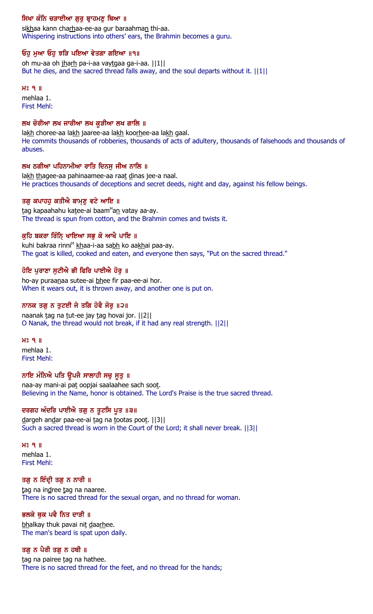# ਸਿਖਾ ਕੰਨਿ ਚੜਾਈਆ ਗੁਰੂ ਬ੍ਰਾਹਮਣੂ ਥਿਆ ॥

sikhaa kann charhaa-ee-aa gur baraahman thi-aa. Whispering instructions into others' ears, the Brahmin becomes a guru.

### ਓਹੁ ਮੁਆ ਓਹੁ ਝੜਿ ਪਇਆ ਵੇਤਗਾ ਗਇਆ ॥੧॥

oh mu-aa oh jharh pa-i-aa vaytgaa ga-i-aa. ||1|| But he dies, and the sacred thread falls away, and the soul departs without it. ||1||

#### $H<sup>o</sup>$   $I<sub>II</sub>$

mehlaa 1. First Mehl:

### ਲਖ ਚੋਰੀਆ ਲਖ ਜਾਰੀਆ ਲਖ ਕੁੜੀਆ ਲਖ ਗਾਲਿ ॥

lakh choree-aa lakh jaaree-aa lakh koorhee-aa lakh gaal. He commits thousands of robberies, thousands of acts of adultery, thousands of falsehoods and thousands of abuses.

# ਲਖ ਠਗੀਆ ਪਹਿਨਾਮੀਆ ਰਾਤਿ ਦਿਨਸ ਜੀਅ ਨਾਲਿ ॥

lakh thagee-aa pahinaamee-aa raat dinas jee-a naal. He practices thousands of deceptions and secret deeds, night and day, against his fellow beings.

### ਤਗੁ ਕਪਾਹਹੁ ਕਤੀਐ ਬਾਮ੍ਣੁ ਵਟੇ ਆਇ ॥

<u>t</u>ag kapaahahu ka<u>t</u>ee-ai baam<sup>H</sup>a<u>n</u> vatay aa-ay. The thread is spun from cotton, and the Brahmin comes and twists it.

# ਕੁਹਿ ਬਕਰਾ ਰਿੰਨਿ੍ ਖਾਇਆ ਸਭੁ ਕੋ ਆਖੈ ਪਾਇ ॥

kuhi bakraa rinni<sup>H</sup> khaa-i-aa sabh ko aakhai paa-ay. The goat is killed, cooked and eaten, and everyone then says, "Put on the sacred thread."

# ਹੋਇ ਪੁਰਾਣਾ ਸੁਟੀਐ ਭੀ ਫਿਰਿ ਪਾਈਐ ਹੋਰੂ ॥

ho-ay puraanaa sutee-ai bhee fir paa-ee-ai hor. When it wears out, it is thrown away, and another one is put on.

### ਨਾਨਕ ਤਗੂ ਨ ਤੁਟਈ ਜੇ ਤਗਿ ਹੋਵੈ ਜੋਰੂ ॥੨॥

naanak tag na tut-ee jay tag hovai jor. ||2|| O Nanak, the thread would not break, if it had any real strength. ||2||

### $H_0^{\circ}$  9  $\parallel$

mehlaa 1. First Mehl:

# ਨਾਇ ਮੰਨਿਐ ਪਤਿ ਉਪਜੈ ਸਾਲਾਹੀ ਸਚੂ ਸੂਤੂ ॥

naa-ay mani-ai pat oopjai saalaahee sach soot. Believing in the Name, honor is obtained. The Lord's Praise is the true sacred thread.

# ਦਰਗਹ ਅੰਦਰਿ ਪਾਈਐ ਤਗੁ ਨ ਤੂਟਸਿ ਪੂਤ ॥੩॥

dargeh andar paa-ee-ai tag na tootas poot. [3] Such a sacred thread is worn in the Court of the Lord; it shall never break. ||3||

#### $H<sup>o</sup>$   $I<sub>II</sub>$ mehlaa 1. First Mehl:

### ਤਗੁ ਨ ਇੰਦ੍ਰੀ ਤਗੁ ਨ ਨਾਰੀ ॥

tag na indree tag na naaree. There is no sacred thread for the sexual organ, and no thread for woman.

# ਭਲਕੇ ਥੁਕ ਪਵੈ ਨਿਤ ਦਾੜੀ ॥

bhalkay thuk pavai nit daarhee. The man's beard is spat upon daily.

### ਤਗੂ ਨ ਪੈਰੀ ਤਗੂ ਨ ਹਥੀ ॥

tag na pairee tag na hathee. There is no sacred thread for the feet, and no thread for the hands;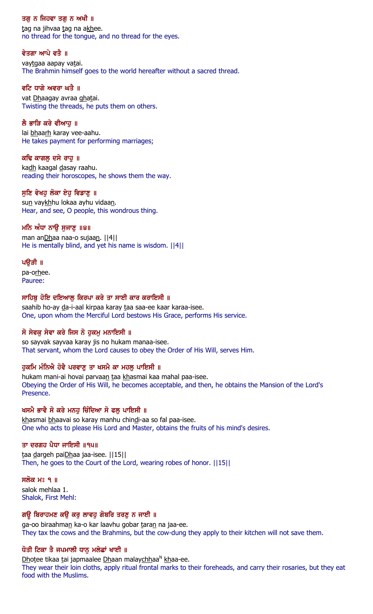### ਤਗ ਨ ਜਿਹਵਾ ਤਗ ਨ ਅਖੀ ॥

tag na jihvaa tag na akhee. no thread for the tongue, and no thread for the eyes.

### ਵੇਤਗਾ ਆਪੇ ਵਤੈ ॥

vaytgaa aapay vatai. The Brahmin himself goes to the world hereafter without a sacred thread.

# ਵਟਿ ਧਾਗੇ ਅਵਰਾ ਘਤੈ ॥

vat Dhaagay avraa ghatai. Twisting the threads, he puts them on others.

# ਲੈ ਭਾੜਿ ਕਰੇ ਵੀਆਹ ॥

lai bhaarh karay vee-aahu. He takes payment for performing marriages;

### ਕਢਿ ਕਾਗਲੁ ਦਸੇ ਰਾਹੁ ॥

kadh kaagal dasay raahu. reading their horoscopes, he shows them the way.

# ਸੁਣਿ ਵੇਖਹੁ ਲੋਕਾ ਏਹੁ ਵਿਡਾਣੁ ॥

sun vaykhhu lokaa ayhu vidaan. Hear, and see, O people, this wondrous thing.

# ਮਨਿ ਅੰਧਾ ਨਾਉ ਸੁਜਾਣੂ ॥੪॥

man anDhaa naa-o sujaan. ||4|| He is mentally blind, and yet his name is wisdom. ||4||

### ਪੳੜੀ ॥

pa-orhee. Pauree:

### ਸਾਹਿਬ ਹੋਇ ਦਇਆਲ ਕਿਰਪਾ ਕਰੇ ਤਾ ਸਾਈ ਕਾਰ ਕਰਾਇਸੀ ॥

saahib ho-ay da-i-aal kirpaa karay taa saa-ee kaar karaa-isee. One, upon whom the Merciful Lord bestows His Grace, performs His service.

# ਸੋ ਸੇਵਕ ਸੇਵਾ ਕਰੇ ਜਿਸ ਨੋ ਹਕਮ ਮਨਾਇਸੀ ॥

so sayvak sayvaa karay jis no hukam manaa-isee. That servant, whom the Lord causes to obey the Order of His Will, serves Him.

# ਹਕਮਿ ਮੰਨਿਐ ਹੋਵੈ ਪਰਵਾਣ ਤਾ ਖਸਮੈ ਕਾ ਮਹਲ ਪਾਇਸੀ ॥

hukam mani-ai hovai parvaan taa khasmai kaa mahal paa-isee. Obeying the Order of His Will, he becomes acceptable, and then, he obtains the Mansion of the Lord's Presence.

# ਖਸਮੈ ਭਾਵੈ ਸੋ ਕਰੇ ਮਨਹ ਚਿੰਦਿਆ ਸੋ ਫਲ ਪਾਇਸੀ ॥

khasmai bhaavai so karay manhu chindi-aa so fal paa-isee. One who acts to please His Lord and Master, obtains the fruits of his mind's desires.

# ਤਾ ਦਰਗਹ ਪੈਧਾ ਜਾਇਸੀ ॥੧੫॥

taa dargeh paiDhaa jaa-isee. | | 15| | Then, he goes to the Court of the Lord, wearing robes of honor. ||15||

# ਸਲੋਕ ਮਃ ੧ ॥

salok mehlaa 1. Shalok, First Mehl:

# ਗਊ ਬਿਰਾਹਮਣ ਕਉ ਕਰ ਲਾਵਹੁ ਗੋਬਰਿ ਤਰਣੂ ਨ ਜਾਈ ॥

ga-oo biraahman ka-o kar laavhu gobar taran na jaa-ee. They tax the cows and the Brahmins, but the cow-dung they apply to their kitchen will not save them.

# ਧੋਤੀ ਟਿਕਾ ਤੈ ਜਪਮਾਲੀ ਧਾਨੂ ਮਲੇਛਾਂ ਖਾਈ ॥

Dhotee tikaa tai japmaalee Dhaan malaychhaa<sup>N</sup> khaa-ee. They wear their loin cloths, apply ritual frontal marks to their foreheads, and carry their rosaries, but they eat food with the Muslims.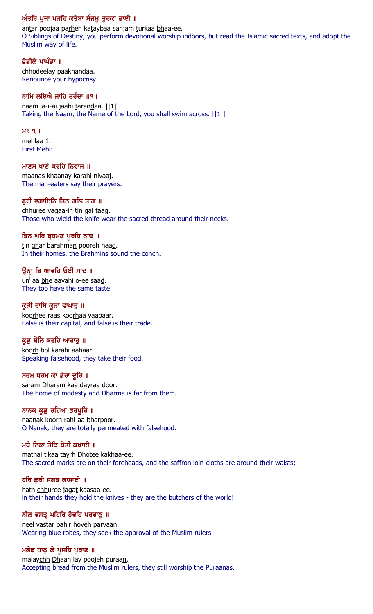# ਅੰਤਰਿ ਪੂਜਾ ਪੜਹਿ ਕਤੇਬਾ ਸੰਜਮੂ ਤੁਰਕਾ ਭਾਈ ॥

antar poojaa parheh kataybaa sanjam turkaa bhaa-ee. O Siblings of Destiny, you perform devotional worship indoors, but read the Islamic sacred texts, and adopt the Muslim way of life.

### ਛੋਡੀਲੇ ਪਾਖੰਡਾ ॥

chhodeelay paakhandaa. Renounce your hypocrisy!

### ਨਾਮਿ ਲਇਐ ਜਾਹਿ ਤਰੰਦਾ ॥੧॥

naam la-i-ai jaahi tarandaa. ||1|| Taking the Naam, the Name of the Lord, you shall swim across. ||1||

# $H<sub>8</sub>$   $Q<sub>1</sub>$

mehlaa 1. First Mehl:

### ਮਾਣਸ ਖਾਣੇ ਕਰਹਿ ਨਿਵਾਜ ॥

maanas khaanay karahi nivaaj. The man-eaters say their prayers.

### ਛਰੀ ਵਗਾਇਨਿ ਤਿਨ ਗਲਿ ਤਾਗ ॥

chhuree vagaa-in tin gal taag. Those who wield the knife wear the sacred thread around their necks.

### ਤਿਨ ਘਰਿ ਬ੍ਰਹਮਣ ਪੁਰਹਿ ਨਾਦ ॥

tin ghar barahman pooreh naad. In their homes, the Brahmins sound the conch.

# ਉਨ੍ਹਾ ਭਿ ਆਵਹਿ ਓਈ ਸਾਦ ॥

un<sup>H</sup>aa <u>bh</u>e aavahi o-ee saa<u>d</u>. They too have the same taste.

### ਕੁੜੀ ਰਾਸਿ ਕੁੜਾ ਵਾਪਾਰੁ ॥

koorhee raas koorhaa vaapaar. False is their capital, and false is their trade.

### ਕੁੜੂ ਬੋਲਿ ਕਰਹਿ ਆਹਾਰੂ ॥

koorh bol karahi aahaar. Speaking falsehood, they take their food.

### ਸਰਮ ਧਰਮ ਕਾ ਡੇਰਾ ਦੁਰਿ ॥

saram Dharam kaa dayraa door. The home of modesty and Dharma is far from them.

### ਨਾਨਕ ਕੁੜੂ ਰਹਿਆ ਭਰਪੁਰਿ ॥

naanak koorh rahi-aa bharpoor. O Nanak, they are totally permeated with falsehood.

### ਮਥੈ ਟਿਕਾ ਤੇੜਿ ਧੋਤੀ ਕਖਾਈ ॥

mathai tikaa tayrh Dhotee kakhaa-ee. The sacred marks are on their foreheads, and the saffron loin-cloths are around their waists;

### ਹਥਿ ਛੁਰੀ ਜਗਤ ਕਾਸਾਈ ॥

hath chhuree jagat kaasaa-ee. in their hands they hold the knives - they are the butchers of the world!

### ਨੀਲ ਵਸਤ੍ਰ ਪਹਿਰਿ ਹੋਵਹਿ ਪਰਵਾਣੂ ॥

neel vastar pahir hoveh parvaan. Wearing blue robes, they seek the approval of the Muslim rulers.

### ਮਲੇਛ ਧਾਨੂ ਲੇ ਪੁਜਹਿ ਪੁਰਾਣੂ ॥

malaychh Dhaan lay poojeh puraan. Accepting bread from the Muslim rulers, they still worship the Puraanas.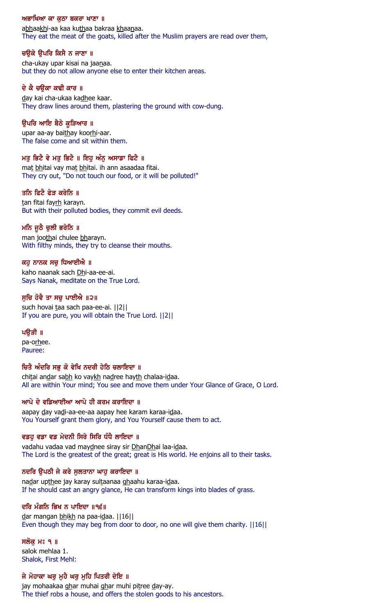#### ਅਭਾਖਿਆ ਕਾ ਕਠਾ ਬਕਰਾ ਖਾਣਾ ॥

abhaakhi-aa kaa kuthaa bakraa khaanaa. They eat the meat of the goats, killed after the Muslim prayers are read over them,

### ਚਉਕੇ ਉਪਰਿ ਕਿਸੈ ਨ ਜਾਣਾ ॥

cha-ukay upar kisai na jaanaa. but they do not allow anyone else to enter their kitchen areas.

### ਦੇ ਕੈ ਚੳਕਾ ਕਢੀ ਕਾਰ ॥

day kai cha-ukaa kadhee kaar. They draw lines around them, plastering the ground with cow-dung.

### ੳਪਰਿ ਆਇ ਬੈਠੇ ਕੁੜਿਆਰ ॥

upar aa-ay baithay koorhi-aar. The false come and sit within them.

### ਮਤੁ ਭਿਟੈ ਵੇ ਮਤੁ ਭਿਟੈ ॥ ਇਹੁ ਅੰਨੁ ਅਸਾਡਾ ਫਿਟੈ ॥

mat bhitai vay mat bhitai. ih ann asaadaa fitai. They cry out, "Do not touch our food, or it will be polluted!"

### ਤਨਿ ਫਿਟੈ ਫੇੜ ਕਰੇਨਿ ॥

tan fitai fayrh karayn. But with their polluted bodies, they commit evil deeds.

### ਮਨਿ ਜੁਠੈ ਚੁਲੀ ਭਰੇਨਿ ॥

man joothai chulee bharayn. With filthy minds, they try to cleanse their mouths.

### ਕਹੁ ਨਾਨਕ ਸਚੁ ਧਿਆਈਐ ॥

kaho naanak sach Dhi-aa-ee-ai. Says Nanak, meditate on the True Lord.

#### ਸੁਚਿ ਹੋਵੈ ਤਾ ਸਚੁ ਪਾਈਐ ॥੨॥

such hovai taa sach paa-ee-ai. ||2|| If you are pure, you will obtain the True Lord. ||2||

#### ਪੳੜੀ ॥

pa-orhee. Pauree:

### ਚਿਤੈ ਅੰਦਰਿ ਸਭੁ ਕੋ ਵੇਖਿ ਨਦਰੀ ਹੇਠਿ ਚਲਾਇਦਾ ॥

chitai andar sabh ko vaykh nadree hayth chalaa-idaa. All are within Your mind; You see and move them under Your Glance of Grace, O Lord.

### ਆਪੇ ਦੇ ਵਡਿਆਈਆ ਆਪੇ ਹੀ ਕਰਮ ਕਰਾਇਦਾ ॥

aapay day vadi-aa-ee-aa aapay hee karam karaa-idaa. You Yourself grant them glory, and You Yourself cause them to act.

### ਵਡਹੂ ਵਡਾ ਵਡ ਮੇਦਨੀ ਸਿਰੇ ਸਿਰਿ ਧੰਧੈ ਲਾਇਦਾ ॥

vadahu vadaa vad maydnee siray sir DhanDhai laa-idaa. The Lord is the greatest of the great; great is His world. He enjoins all to their tasks.

### ਨਦਰਿ ਉਪਠੀ ਜੇ ਕਰੇ ਸੁਲਤਾਨਾ ਘਾਹੁ ਕਰਾਇਦਾ ॥

nadar upthee jay karay sultaanaa ghaahu karaa-idaa. If he should cast an angry glance, He can transform kings into blades of grass.

### ਦਰਿ ਮੰਗਨਿ ਭਿਖ ਨ ਪਾਇਦਾ ॥੧੬॥

dar mangan bhikh na paa-idaa. | 16| | Even though they may beg from door to door, no one will give them charity. ||16||

#### ਸਲੋਕ ਮਃ ੧ ॥

salok mehlaa 1. Shalok, First Mehl:

### ਜੇ ਮੋਹਾਕਾ ਘਰ ਮਹੈ ਘਰ ਮਹਿ ਪਿਤਰੀ ਦੇਇ ॥

jay mohaakaa ghar muhai ghar muhi pitree day-ay. The thief robs a house, and offers the stolen goods to his ancestors.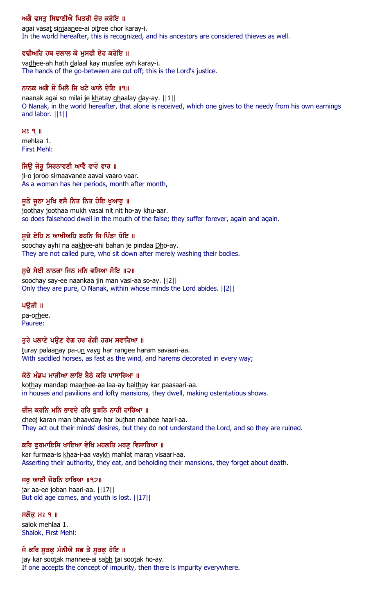# ਅਗੈ ਵਸਤੂ ਸਿਞਾਣੀਐ ਪਿਤਰੀ ਚੋਰ ਕਰੇਇ ॥

agai vasat sinjaanee-ai pitree chor karay-i. In the world hereafter, this is recognized, and his ancestors are considered thieves as well.

### ਵਢੀਅਹਿ ਹਥ ਦਲਾਲ ਕੇ ਮੁਸਫੀ ਏਹ ਕਰੇਇ ॥

vadhee-ah hath dalaal kay musfee ayh karay-i. The hands of the go-between are cut off; this is the Lord's justice.

### ਨਾਨਕ ਅਗੈ ਸੋ ਮਿਲੈ ਜਿ ਖਟੇ ਘਾਲੇ ਦੇਇ ॥੧॥

naanak agai so milai je khatay ghaalay day-ay. ||1|| O Nanak, in the world hereafter, that alone is received, which one gives to the needy from his own earnings and labor. ||1||

#### $H<sup>o</sup>$   $I<sub>II</sub>$

mehlaa 1. First Mehl:

### ਜਿਉ ਜੋਰੁ ਸਿਰਨਾਵਣੀ ਆਵੈ ਵਾਰੋ ਵਾਰ ॥

ji-o joroo sirnaavanee aavai vaaro vaar. As a woman has her periods, month after month,

### ਜੁਠੇ ਜੁਠਾ ਮੁਖਿ ਵਸੈ ਨਿਤ ਨਿਤ ਹੋਇ ਖੁਆਰੁ ॥

joothay joothaa mukh vasai nit nit ho-ay khu-aar. so does falsehood dwell in the mouth of the false; they suffer forever, again and again.

### ਸੁਚੇ ਏਹਿ ਨ ਆਖੀਅਹਿ ਬਹਨਿ ਜਿ ਪਿੰਡਾ ਧੋਇ ॥

soochay ayhi na aakhee-ahi bahan je pindaa Dho-ay. They are not called pure, who sit down after merely washing their bodies.

# ਸੁਚੇ ਸੇਈ ਨਾਨਕਾ ਜਿਨ ਮਨਿ ਵਸਿਆ ਸੋਇ ॥੨॥

soochay say-ee naankaa jin man vasi-aa so-ay. ||2|| Only they are pure, O Nanak, within whose minds the Lord abides. ||2||

### ਪੳੜੀ ॥

pa-orhee. Pauree:

### ਤੁਰੇ ਪਲਾਣੇ ਪਉਣ ਵੇਗ ਹਰ ਰੰਗੀ ਹਰਮ ਸਵਾਰਿਆ ॥

turay palaanay pa-un vayg har rangee haram savaari-aa. With saddled horses, as fast as the wind, and harems decorated in every way;

### ਕੋਠੇ ਮੰਡਪ ਮਾੜੀਆ ਲਾਇ ਬੈਠੇ ਕਰਿ ਪਾਸਾਰਿਆ ॥

kothay mandap maarhee-aa laa-ay baithay kar paasaari-aa. in houses and pavilions and lofty mansions, they dwell, making ostentatious shows.

### ਚੀਜ ਕਰਨਿ ਮਨਿ ਭਾਵਦੇ ਹਰਿ ਬੁਝਨਿ ਨਾਹੀ ਹਾਰਿਆ ॥

cheej karan man bhaavday har bujhan naahee haari-aa. They act out their minds' desires, but they do not understand the Lord, and so they are ruined.

# ਕਰਿ ਫੁਰਮਾਇਸਿ ਖਾਇਆ ਵੇਖਿ ਮਹਲਤਿ ਮਰਣੂ ਵਿਸਾਰਿਆ ॥

kar furmaa-is khaa-i-aa vaykh mahlat maran visaari-aa. Asserting their authority, they eat, and beholding their mansions, they forget about death.

### ਜਰ ਆਈ ਜੋਬਨਿ ਹਾਰਿਆ  $||92||$

jar aa-ee joban haari-aa. ||17|| But old age comes, and youth is lost. ||17||

# ਸਲੋਕ ਮਃ ੧ ॥

salok mehlaa 1. Shalok, First Mehl:

# ਜੇ ਕਰਿ ਸੁਤਕੁ ਮੰਨੀਐ ਸਭ ਤੈ ਸੁਤਕੁ ਹੋਇ ॥

jay kar sootak mannee-ai sabh tai sootak ho-ay. If one accepts the concept of impurity, then there is impurity everywhere.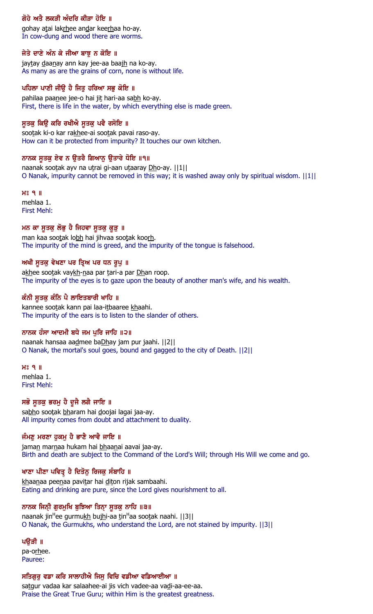# ਗੋਹੇ ਅਤੈ ਲਕੜੀ ਅੰਦਰਿ ਕੀੜਾ ਹੋਇ ॥

gohay atai lakrhee andar keerhaa ho-ay. In cow-dung and wood there are worms.

### ਜੇਤੇ ਦਾਣੇ ਅੰਨ ਕੇ ਜੀਆ ਬਾਝੂ ਨ ਕੋਇ ॥

jaytay daanay ann kay jee-aa baajh na ko-ay. As many as are the grains of corn, none is without life.

### ਪਹਿਲਾ ਪਾਣੀ ਜੀਉ ਹੈ ਜਿਤੂ ਹਰਿਆ ਸਭੂ ਕੋਇ ॥

pahilaa paanee jee-o hai jit hari-aa sabh ko-ay. First, there is life in the water, by which everything else is made green.

### ਸੁਤਕੁ ਕਿਉ ਕਰਿ ਰਖੀਐ ਸੁਤਕੁ ਪਵੈ ਰਸੋਇ ॥

sootak ki-o kar rakhee-ai sootak pavai raso-ay. How can it be protected from impurity? It touches our own kitchen.

### ਨਾਨਕ ਸੂਤਕੁ ਏਵ ਨ ਉਤਰੈ ਗਿਆਨੁ ਉਤਾਰੇ ਧੋਇ ॥੧॥

naanak sootak ayv na utrai gi-aan utaaray Dho-ay. ||1|| O Nanak, impurity cannot be removed in this way; it is washed away only by spiritual wisdom. ||1||

H<sub>2</sub> 9 || mehlaa 1. First Mehl:

### ਮਨ ਕਾ ਸੁਤਕੁ ਲੋਭੁ ਹੈ ਜਿਹਵਾ ਸੁਤਕੁ ਕੁੜੁ ॥

man kaa sootak lobh hai jihvaa sootak koorh. The impurity of the mind is greed, and the impurity of the tongue is falsehood.

### ਅਖੀ ਸੁਤਕੁ ਵੇਖਣਾ ਪਰ ਤ੍ਰਿਅ ਪਰ ਧਨ ਰੁਪੁ ॥

akhee sootak vaykh-naa par tari-a par Dhan roop. The impurity of the eyes is to gaze upon the beauty of another man's wife, and his wealth.

### ਕੰਨੀ ਸੂਤਕੂ ਕੰਨਿ ਪੈ ਲਾਇਤਬਾਰੀ ਖਾਹਿ ॥

kannee sootak kann pai laa-itbaaree khaahi. The impurity of the ears is to listen to the slander of others.

### ਨਾਨਕ ਹੰਸਾ ਆਦਮੀ ਬਧੇ ਜਮ ਪੁਰਿ ਜਾਹਿ ॥੨॥

naanak hansaa aadmee baDhay jam pur jaahi. ||2|| O Nanak, the mortal's soul goes, bound and gagged to the city of Death. ||2||

#### $H<sup>o</sup>$   $I<sub>II</sub>$

mehlaa 1. First Mehl:

# ਸਭੋ ਸੁਤਕੁ ਭਰਮੁ ਹੈ ਦੁਜੈ ਲਗੈ ਜਾਇ ॥

sabho sootak bharam hai doojai lagai jaa-ay. All impurity comes from doubt and attachment to duality.

# ਜੰਮਣੁ ਮਰਣਾ ਹੁਕਮੁ ਹੈ ਭਾਣੈ ਆਵੈ ਜਾਇ ॥

jaman marnaa hukam hai bhaanai aavai jaa-ay. Birth and death are subject to the Command of the Lord's Will; through His Will we come and go.

### ਖਾਣਾ ਪੀਣਾ ਪਵਿਤ੍ਰ ਹੈ ਦਿਤੋਨੂ ਰਿਜਕੂ ਸੰਬਾਹਿ ॥

khaanaa peenaa pavitar hai diton rijak sambaahi. Eating and drinking are pure, since the Lord gives nourishment to all.

### ਨਾਨਕ ਜਿਨ੍ਹੀ ਗੁਰਮੁਖਿ ਬੁਝਿਆ ਤਿਨ੍ਾ ਸੁਤਕੁ ਨਾਹਿ ॥੩॥

naanak jin<sup>H</sup>ee gurmu<u>kh</u> bu<u>ih</u>i-aa tin<sup>H</sup>aa sootak naahi. ||3|| O Nanak, the Gurmukhs, who understand the Lord, are not stained by impurity. ||3||

### ਪੳੜੀ ॥

pa-orhee. Pauree:

### ਸਤਿਗਰ ਵਡਾ ਕਰਿ ਸਾਲਾਹੀਐ ਜਿਸ ਵਿਚਿ ਵਡੀਆ ਵਡਿਆਈਆ ॥

satgur vadaa kar salaahee-ai jis vich vadee-aa vadi-aa-ee-aa. Praise the Great True Guru; within Him is the greatest greatness.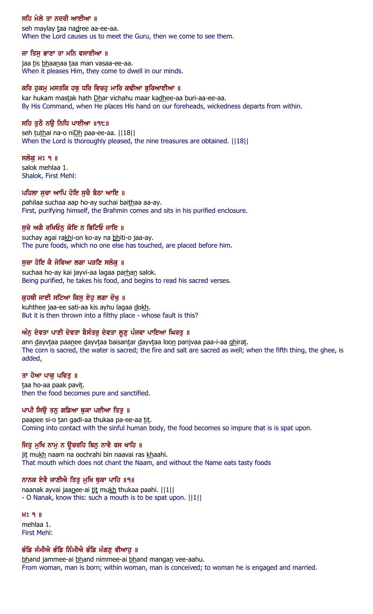### ਸਹਿ ਮੇਲੇ ਤਾ ਨਦਰੀ ਆਈਆ ॥

seh maylay taa nadree aa-ee-aa. When the Lord causes us to meet the Guru, then we come to see them.

### ਜਾ ਤਿਸੁ ਭਾਣਾ ਤਾ ਮਨਿ ਵਸਾਈਆ ॥

jaa tis bhaanaa taa man vasaa-ee-aa. When it pleases Him, they come to dwell in our minds.

#### ਕਰਿ ਹੁਕਮੁ ਮਸਤਕਿ ਹਥੁ ਧਰਿ ਵਿਚਹੁ ਮਾਰਿ ਕਢੀਆ ਬੁਰਿਆਈਆ ॥

kar hukam mastak hath Dhar vichahu maar kadhee-aa buri-aa-ee-aa. By His Command, when He places His hand on our foreheads, wickedness departs from within.

### ਸਹਿ ਤੁਠੈ ਨਉ ਨਿਧਿ ਪਾਈਆ ॥੧੮॥

seh tuthai na-o niDh paa-ee-aa. ||18|| When the Lord is thoroughly pleased, the nine treasures are obtained. ||18||

#### ਸਲੱਕੁ ਮਃ ੧ ॥

salok mehlaa 1. Shalok, First Mehl:

### ਪਹਿਲਾ ਸੂਚਾ ਆਪਿ ਹੋਇ ਸੁਚੈ ਬੈਠਾ ਆਇ ॥

pahilaa suchaa aap ho-ay suchai baithaa aa-ay. First, purifying himself, the Brahmin comes and sits in his purified enclosure.

### ਸੁਚੇ ਅਗੈ ਰਖਿਓਨੂ ਕੋਇ ਨ ਭਿਟਿਓ ਜਾਇ ॥

suchay agai rakhi-on ko-ay na bhiti-o jaa-ay. The pure foods, which no one else has touched, are placed before him.

#### ਸੂਚਾ ਹੋਇ ਕੈ ਜੇਵਿਆ ਲਗਾ ਪੜਣਿ ਸਲੋਕੂ ॥

suchaa ho-ay kai jayvi-aa lagaa parhan salok. Being purified, he takes his food, and begins to read his sacred verses.

### ਕੁਹਥੀ ਜਾਈ ਸਟਿਆ ਕਿਸੂ ਏਹੂ ਲਗਾ ਦੋਖੂ ॥

kuhthee jaa-ee sati-aa kis ayhu lagaa dokh. But it is then thrown into a filthy place - whose fault is this?

### ਅੰਨੂ ਦੇਵਤਾ ਪਾਣੀ ਦੇਵਤਾ ਬੈਸੰਤਰੂ ਦੇਵਤਾ ਲੂਣੂ ਪੰਜਵਾ ਪਾਇਆ ਘਿਰਤੂ ॥

ann dayvtaa paanee dayvtaa baisantar dayvtaa loon panjvaa paa-i-aa ghirat. The corn is sacred, the water is sacred; the fire and salt are sacred as well; when the fifth thing, the ghee, is added,

#### ਤਾ ਹੋਆ ਪਾਕ ਪਵਿਤ ॥

taa ho-aa paak pavit. then the food becomes pure and sanctified.

### ਪਾਪੀ ਸਿਉ ਤਨੁ ਗਡਿਆ ਥੁਕਾ ਪਈਆ ਤਿਤੁ ॥

paapee si-o tan gadi-aa thukaa pa-ee-aa tit. Coming into contact with the sinful human body, the food becomes so impure that is is spat upon.

### ਜਿਤੁ ਮੁਖਿ ਨਾਮੁ ਨ ਉਚਰਹਿ ਬਿਨੁ ਨਾਵੈ ਰਸ ਖਾਹਿ ॥

jit mukh naam na oochrahi bin naavai ras khaahi. That mouth which does not chant the Naam, and without the Name eats tasty foods

### ਨਾਨਕ ਏਵੈ ਜਾਣੀਐ ਤਿਤੁ ਮੁਖਿ ਥੁਕਾ ਪਾਹਿ ॥੧॥

naanak ayvai jaanee-ai tit mukh thukaa paahi. ||1|| - O Nanak, know this: such a mouth is to be spat upon. ||1||

H<sub>2</sub> 9 || mehlaa 1. First Mehl:

### ਭੰਡਿ ਜੰਮੀਐ ਭੰਡਿ ਨਿੰਮੀਐ ਭੰਡਿ ਮੰਗਣੂ ਵੀਆਹੂ ॥

bhand jammee-ai bhand nimmee-ai bhand mangan vee-aahu. From woman, man is born; within woman, man is conceived; to woman he is engaged and married.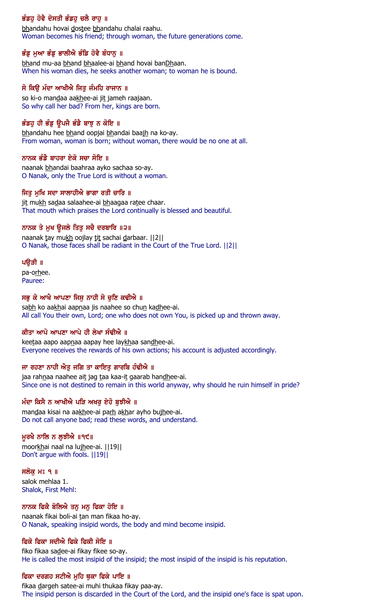# ਭੰਡਹੂ ਹੋਵੈ ਦੋਸਤੀ ਭੰਡਹੂ ਚਲੈ ਰਾਹੂ ॥

bhandahu hovai dostee bhandahu chalai raahu. Woman becomes his friend; through woman, the future generations come.

# ਭੰਡੂ ਮੁਆ ਭੰਡੂ ਭਾਲੀਐ ਭੰਡਿ ਹੋਵੈ ਬੰਧਾਨੂ ॥

bhand mu-aa bhand bhaalee-ai bhand hovai banDhaan. When his woman dies, he seeks another woman; to woman he is bound.

# ਸੋ ਕਿੳ ਮੰਦਾ ਆਖੀਐ ਜਿਤ ਜੰਮਹਿ ਰਾਜਾਨ ॥

so ki-o mandaa aakhee-ai jit jameh raajaan. So why call her bad? From her, kings are born.

# ਭੰਡਹੂ ਹੀ ਭੰਡੂ ਉਪਜੈ ਭੰਡੈ ਬਾਝੂ ਨ ਕੋਇ ॥

bhandahu hee bhand oopjai bhandai baajh na ko-ay. From woman, woman is born; without woman, there would be no one at all.

# ਨਾਨਕ ਭੰਡੈ ਬਾਹਰਾ ਏਕੋ ਸਚਾ ਸੋਇ ॥

naanak bhandai baahraa ayko sachaa so-ay. O Nanak, only the True Lord is without a woman.

# ਜਿਤੂ ਮੁਖਿ ਸਦਾ ਸਾਲਾਹੀਐ ਭਾਗਾ ਰਤੀ ਚਾਰਿ ॥

jit mukh sadaa salaahee-ai bhaagaa ratee chaar. That mouth which praises the Lord continually is blessed and beautiful.

# ਨਾਨਕ ਤੇ ਮੁਖ ਉਜਲੇ ਤਿਤੁ ਸਚੈ ਦਰਬਾਰਿ ॥੨॥

naanak tay mukh oojlay tit sachai darbaar. [2] O Nanak, those faces shall be radiant in the Court of the True Lord. ||2||

### ਪਉੜੀ ॥

pa-orhee. Pauree:

# ਸਭੁ ਕੋ ਆਖੈ ਆਪਣਾ ਜਿਸੁ ਨਾਹੀ ਸੋ ਚੁਣਿ ਕਢੀਐ ॥

sabh ko aakhai aapnaa jis naahee so chun kadhee-ai. All call You their own, Lord; one who does not own You, is picked up and thrown away.

# ਕੀਤਾ ਆਪੋ ਆਪਣਾ ਆਪੇ ਹੀ ਲੇਖਾ ਸੰਢੀਐ ॥

keetaa aapo aapnaa aapay hee laykhaa sandhee-ai. Everyone receives the rewards of his own actions; his account is adjusted accordingly.

# ਜਾ ਰਹਣਾ ਨਾਹੀ ਐਤ ਜਗਿ ਤਾ ਕਾਇਤ ਗਾਰਬਿ ਹੰਢੀਐ ॥

jaa rahnaa naahee ait jag taa kaa-it gaarab handhee-ai. Since one is not destined to remain in this world anyway, why should he ruin himself in pride?

# ਮੰਦਾ ਕਿਸੈ ਨ ਆਖੀਐ ਪੜਿ ਅਖਰੂ ਏਹੋ ਬੁਝੀਐ ॥

mandaa kisai na aakhee-ai parh akhar ayho bujhee-ai. Do not call anyone bad; read these words, and understand.

# ਮੁਰਖੈ ਨਾਲਿ ਨ ਲੁਝੀਐ ॥੧੯॥

moorkhai naal na lujhee-ai. ||19|| Don't argue with fools. ||19||

ਸਲੋਕ ਮਃ ੧ ॥ salok mehlaa 1. Shalok, First Mehl:

# ਨਾਨਕ ਫਿਕੈ ਬੋਲਿਐ ਤਨੁ ਮਨੁ ਫਿਕਾ ਹੋਇ ॥

naanak fikai boli-ai tan man fikaa ho-ay. O Nanak, speaking insipid words, the body and mind become insipid.

# ਫਿਕੋ ਫਿਕਾ ਸਦੀਐ ਫਿਕੇ ਫਿਕੀ ਸੋਇ ॥

fiko fikaa sadee-ai fikay fikee so-ay. He is called the most insipid of the insipid; the most insipid of the insipid is his reputation.

# ਫਿਕਾ ਦਰਗਹ ਸਟੀਐ ਮਹਿ ਥਕਾ ਫਿਕੇ ਪਾਇ ॥

fikaa dargeh satee-ai muhi thukaa fikay paa-ay. The insipid person is discarded in the Court of the Lord, and the insipid one's face is spat upon.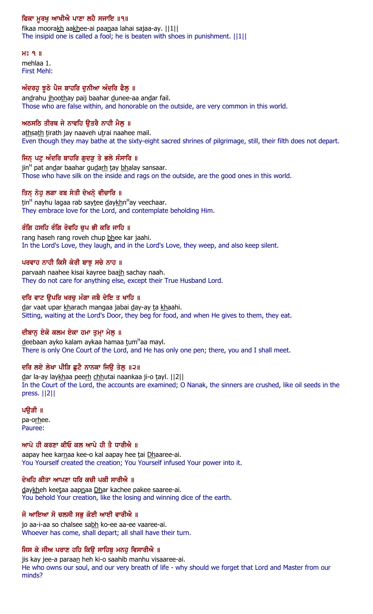# ਫਿਕਾ ਮੁਰਖੁ ਆਖੀਐ ਪਾਣਾ ਲਹੈ ਸਜਾਇ ॥੧॥

fikaa moorakh aakhee-ai paanaa lahai sajaa-ay. ||1|| The insipid one is called a fool; he is beaten with shoes in punishment. ||1||

 $H<sup>o</sup>$   $9$   $\parallel$ mehlaa 1. First Mehl:

### ਅੰਦਰਹੂ ਝੂਠੇ ਪੈਜ ਬਾਹਰਿ ਦੁਨੀਆ ਅੰਦਰਿ ਫੈਲੂ ॥

andrahu jhoothay paij baahar dunee-aa andar fail. Those who are false within, and honorable on the outside, are very common in this world.

### ਅਠਸਠਿ ਤੀਰਥ ਜੇ ਨਾਵਹਿ ੳਤਰੈ ਨਾਹੀ ਮੈਲ ॥

athsath tirath jay naaveh utrai naahee mail. Even though they may bathe at the sixty-eight sacred shrines of pilgrimage, still, their filth does not depart.

### ਜਿਨ ਪਟੁ ਅੰਦਰਿ ਬਾਹਰਿ ਗੁਦੜੁ ਤੇ ਭਲੇ ਸੰਸਾਰਿ ॥

jin<sup>H</sup> pat an<u>d</u>ar baahar gu<u>darh t</u>ay <u>bh</u>alay sansaar. Those who have silk on the inside and rags on the outside, are the good ones in this world.

### ਤਿਨ੍ ਨੇਹੁ ਲਗਾ ਰਬ ਸੇਤੀ ਦੇਖਨ੍ਹੇ ਵੀਚਾਰਿ ॥

<u>t</u>in<sup>H</sup> nayhu lagaa rab say<u>t</u>ee <u>d</u>ay<u>kh</u>n<sup>H</sup>ay veechaar. They embrace love for the Lord, and contemplate beholding Him.

### ਰੰਗਿ ਹਸਹਿ ਰੰਗਿ ਰੋਵਹਿ ਚੁਪ ਭੀ ਕਰਿ ਜਾਹਿ ॥

rang haseh rang roveh chup bhee kar jaahi. In the Lord's Love, they laugh, and in the Lord's Love, they weep, and also keep silent.

### ਪਰਵਾਹ ਨਾਹੀ ਕਿਸੈ ਕੇਰੀ ਬਾਝ ਸਚੇ ਨਾਹ ॥

parvaah naahee kisai kayree baajh sachay naah. They do not care for anything else, except their True Husband Lord.

### ਦਰਿ ਵਾਟ ਉਪਰਿ ਖਰਚੁ ਮੰਗਾ ਜਬੈ ਦੇਇ ਤ ਖਾਹਿ ॥

dar vaat upar kharach mangaa jabai day-ay ta khaahi. Sitting, waiting at the Lord's Door, they beg for food, and when He gives to them, they eat.

### ਦੀਬਾਨੂ ਏਕੋ ਕਲਮ ਏਕਾ ਹਮਾ ਤੁਮ੍ਹਾ ਮੇਲੂ ॥

<u>d</u>eebaan ayko kalam aykaa hamaa <u>t</u>um<sup>H</sup>aa mayl. There is only One Court of the Lord, and He has only one pen; there, you and I shall meet.

### ਦਰਿ ਲਏ ਲੇਖਾ ਪੀੜਿ ਛਟੈ ਨਾਨਕਾ ਜਿੳ ਤੇਲ ॥੨॥

dar la-ay laykhaa peerh chhutai naankaa ji-o tayl. [[2]] In the Court of the Lord, the accounts are examined; O Nanak, the sinners are crushed, like oil seeds in the press. ||2||

ਪੳੜੀ ॥

pa-orhee. Pauree:

### ਆਪੇ ਹੀ ਕਰਣਾ ਕੀਓ ਕਲ ਆਪੇ ਹੀ ਤੈ ਧਾਰੀਐ ॥

aapay hee karnaa kee-o kal aapay hee tai Dhaaree-ai. You Yourself created the creation; You Yourself infused Your power into it.

# ਦੇਖਹਿ ਕੀਤਾ ਆਪਣਾ ਧਰਿ ਕਚੀ ਪਕੀ ਸਾਰੀਐ ॥

daykheh keetaa aapnaa Dhar kachee pakee saaree-ai. You behold Your creation, like the losing and winning dice of the earth.

### ਜੋ ਆਇਆ ਸੋ ਚਲਸੀ ਸਭੁ ਕੋਈ ਆਈ ਵਾਰੀਐ ॥

jo aa-i-aa so chalsee sabh ko-ee aa-ee vaaree-ai. Whoever has come, shall depart; all shall have their turn.

# ਜਿਸ ਕੇ ਜੀਅ ਪਰਾਣ ਹਹਿ ਕਿਉ ਸਾਹਿਬੂ ਮਨਹੂ ਵਿਸਾਰੀਐ ॥

jis kay jee-a paraan heh ki-o saahib manhu visaaree-ai. He who owns our soul, and our very breath of life - why should we forget that Lord and Master from our minds?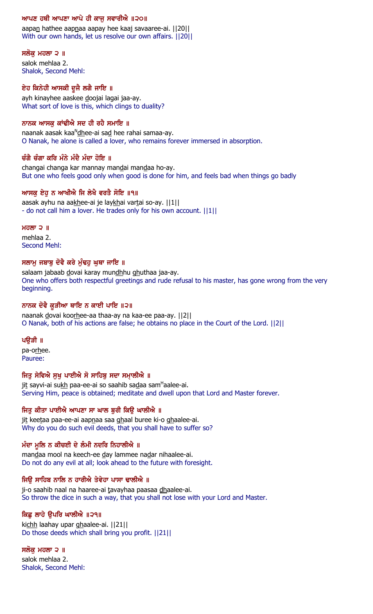### ਆਪਣ ਹਥੀ ਆਪਣਾ ਆਪੇ ਹੀ ਕਾਜੂ ਸਵਾਰੀਐ ॥੨੦॥

aapan hathee aapnaa aapay hee kaaj savaaree-ai. ||20|| With our own hands, let us resolve our own affairs. ||20||

#### ਸਲਕ ਮਹਲਾ ੨ ॥

salok mehlaa 2. Shalok, Second Mehl:

### ਏਹ ਕਿਨੇਹੀ ਆਸਕੀ ਦੂਜੈ ਲਗੈ ਜਾਇ ॥

ayh kinayhee aaskee doojai lagai jaa-ay. What sort of love is this, which clings to duality?

### ਨਾਨਕ ਆਸਕ ਕਾਂਢੀਐ ਸਦ ਹੀ ਰਹੈ ਸਮਾਇ ॥

naanak aasak kaa<sup>n</sup><u>dh</u>ee-ai sa<u>d</u> hee rahai samaa-ay. O Nanak, he alone is called a lover, who remains forever immersed in absorption.

### ਚੰਗੈ ਚੰਗਾ ਕਰਿ ਮੰਨੇ ਮੰਦੈ ਮੰਦਾ ਹੋਇ ॥

changai changa kar mannay mandai mandaa ho-ay. But one who feels good only when good is done for him, and feels bad when things go badly

### ਆਸਕੂ ਏਹੂ ਨ ਆਖੀਐ ਜਿ ਲੇਖੈ ਵਰਤੈ ਸੋਇ ॥੧॥

aasak ayhu na aakhee-ai je laykhai vartai so-ay. ||1|| - do not call him a lover. He trades only for his own account. ||1||

#### $H<sub>0</sub>$   $\overline{M}$   $\overline{D}$   $\overline{M}$

mehlaa 2. Second Mehl:

### ਸਲਾਮ ਜਬਾਬੂ ਦੋਵੈ ਕਰੇ ਮੁੰਢਹੂ ਘਥਾ ਜਾਇ ॥

salaam jabaab dovai karay mundhhu ghuthaa jaa-ay. One who offers both respectful greetings and rude refusal to his master, has gone wrong from the very beginning.

### ਨਾਨਕ ਦੋਵੈ ਕੁੜੀਆ ਥਾਇ ਨ ਕਾਈ ਪਾਇ ॥੨॥

naanak dovai koorhee-aa thaa-ay na kaa-ee paa-ay. ||2|| O Nanak, both of his actions are false; he obtains no place in the Court of the Lord. ||2||

### ਪੳੜੀ ॥

pa-orhee. Pauree:

### ਜਿਤੂ ਸੇਵਿਐ ਸੁਖੂ ਪਾਈਐ ਸੋ ਸਾਹਿਬੂ ਸਦਾ ਸਮਾਲੀਐ ॥

ji<u>t</u> sayvi-ai su<u>kh</u> paa-ee-ai so saahib sa<u>d</u>aa sam<sup>н</sup>aalee-ai. Serving Him, peace is obtained; meditate and dwell upon that Lord and Master forever.

### ਜਿਤ ਕੀਤਾ ਪਾਈਐ ਆਪਣਾ ਸਾ ਘਾਲ ਬਰੀ ਕਿੳ ਘਾਲੀਐ ॥

jit keetaa paa-ee-ai aapnaa saa ghaal buree ki-o ghaalee-ai. Why do you do such evil deeds, that you shall have to suffer so?

# ਮੰਦਾ ਮੁਲਿ ਨ ਕੀਚਈ ਦੇ ਲੰਮੀ ਨਦਰਿ ਨਿਹਾਲੀ**ਐ** ॥

mandaa mool na keech-ee day lammee nadar nihaalee-ai. Do not do any evil at all; look ahead to the future with foresight.

### ਜਿੳ ਸਾਹਿਬ ਨਾਲਿ ਨ ਹਾਰੀਐ ਤੇਵੇਹਾ ਪਾਸਾ ਢਾਲੀਐ ॥

ji-o saahib naal na haaree-ai tavayhaa paasaa dhaalee-ai. So throw the dice in such a way, that you shall not lose with your Lord and Master.

### ਕਿਛ ਲਾਹੇ ਉਪਰਿ ਘਾਲੀਐ ॥੨੧॥

kichh laahay upar ghaalee-ai. ||21|| Do those deeds which shall bring you profit. ||21||

### ਸਲੋਕ ਮਹਲਾ ੨ ॥

salok mehlaa 2. Shalok, Second Mehl: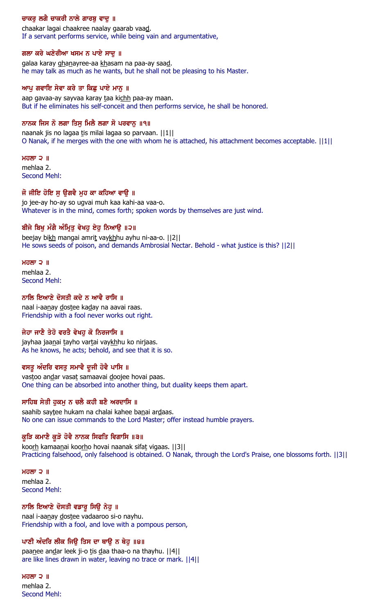# ਚਾਕਰੂ ਲਗੈ ਚਾਕਰੀ ਨਾਲੇ ਗਾਰਬੂ ਵਾਦੂ ॥

chaakar lagai chaakree naalay gaarab vaad. If a servant performs service, while being vain and argumentative,

#### ਗਲਾ ਕਰੇ ਘਣੇਰੀਆ ਖਸਮ ਨ ਪਾਏ ਸਾਦੂ ॥

galaa karay ghanayree-aa khasam na paa-ay saad. he may talk as much as he wants, but he shall not be pleasing to his Master.

### ਆਪੂ ਗਵਾਇ ਸੇਵਾ ਕਰੇ ਤਾ ਕਿਛੂ ਪਾਏ ਮਾਨੂ ॥

aap gavaa-ay sayvaa karay taa kichh paa-ay maan. But if he eliminates his self-conceit and then performs service, he shall be honored.

#### ਨਾਨਕ ਜਿਸ ਨੋ ਲਗਾ ਤਿਸੁ ਮਿਲੈ ਲਗਾ ਸੋ ਪਰਵਾਨੁ ॥੧॥

naanak jis no lagaa tis milai lagaa so parvaan. ||1|| O Nanak, if he merges with the one with whom he is attached, his attachment becomes acceptable. ||1||

#### ਮਹਲਾ $\supset$   $\parallel$

mehlaa 2. Second Mehl:

#### ਜੋ ਜੀਇ ਹੋਇ ਸੁ ਉਗਵੈ ਮੂਹ ਕਾ ਕਹਿਆ ਵਾਉ ॥

jo jee-ay ho-ay so ugvai muh kaa kahi-aa vaa-o. Whatever is in the mind, comes forth; spoken words by themselves are just wind.

### ਬੀਜੇ ਬਿਖੁ ਮੰਗੈ ਅੰਮ੍ਰਿਤੁ ਵੇਖਹੁ ਏਹੁ ਨਿਆਉ ॥੨॥

beejay bikh mangai amrit vaykhhu ayhu ni-aa-o. [2] He sows seeds of poison, and demands Ambrosial Nectar. Behold - what justice is this? ||2||

#### ਮਹਲਾ $2$   $\parallel$

mehlaa 2. Second Mehl:

### ਨਾਲਿ ਇਆਣੇ ਦੋਸਤੀ ਕਦੇ ਨ ਆਵੈ ਰਾਸਿ ॥

naal i-aanay dostee kaday na aavai raas. Friendship with a fool never works out right.

### ਜੇਹਾ ਜਾਣੈ ਤੇਹੋ ਵਰਤੈ ਵੇਖਹ ਕੋ ਨਿਰਜਾਸਿ ॥

jayhaa jaanai tayho vartai vaykhhu ko nirjaas. As he knows, he acts; behold, and see that it is so.

### ਵਸਤੂ ਅੰਦਰਿ ਵਸਤੂ ਸਮਾਵੈ ਦੂਜੀ ਹੋਵੈ ਪਾਸਿ ॥

vastoo andar vasat samaavai doojee hovai paas. One thing can be absorbed into another thing, but duality keeps them apart.

### ਸਾਹਿਬ ਸੇਤੀ ਹੁਕਮੂ ਨ ਚਲੈ ਕਹੀ ਬਣੈ ਅਰਦਾਸਿ ॥

saahib saytee hukam na chalai kahee banai ardaas. No one can issue commands to the Lord Master; offer instead humble prayers.

### ਕੁੜਿ ਕਮਾਣੈ ਕੁੜੋ ਹੋਵੈ ਨਾਨਕ ਸਿਫਤਿ ਵਿਗਾਸਿ ॥੩॥

koorh kamaanai koorho hovai naanak sifat vigaas. ||3|| Practicing falsehood, only falsehood is obtained. O Nanak, through the Lord's Praise, one blossoms forth. ||3||

ਮਹਲਾ $\supset$   $\parallel$ mehlaa 2. Second Mehl:

### ਨਾਲਿ ਇਆਣੇ ਦੋਸਤੀ ਵਡਾਰੂ ਸਿਊ ਨੇਹੂ ॥

naal i-aanay dostee vadaaroo si-o nayhu. Friendship with a fool, and love with a pompous person,

### ਪਾਣੀ ਅੰਦਰਿ ਲੀਕ ਜਿੳ ਤਿਸ ਦਾ ਥਾੳ ਨ ਥੇਹ ॥੪॥

paanee andar leek ji-o tis daa thaa-o na thayhu. ||4|| are like lines drawn in water, leaving no trace or mark. ||4||

ਮਹਲਾ  $2$   $\parallel$ mehlaa 2. Second Mehl: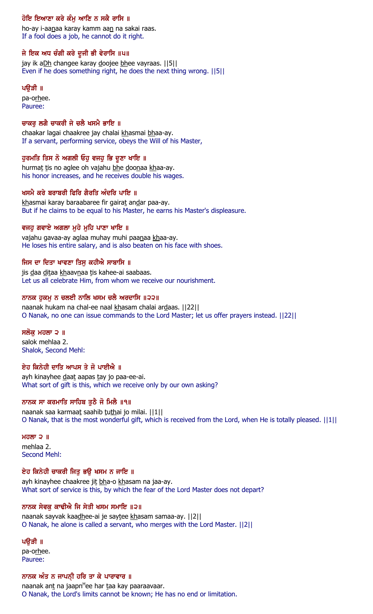# ਹੋਇ ਇਆਣਾ ਕਰੇ ਕੰਮੂ ਆਣਿ ਨ ਸਕੈ ਰਾਸਿ ॥

ho-ay i-aanaa karay kamm aan na sakai raas. If a fool does a job, he cannot do it right.

# ਜੇ ਇਕ ਅਧ ਚੰਗੀ ਕਰੇ ਦੂਜੀ ਭੀ ਵੇਰਾਸਿ ॥੫॥

jay ik aDh changee karay doojee bhee vayraas. ||5|| Even if he does something right, he does the next thing wrong. ||5||

### ਪੳੜੀ ॥

pa-orhee. Pauree:

### ਚਾਕਰ ਲਗੈ ਚਾਕਰੀ ਜੇ ਚਲੈ ਖਸਮੈ ਭਾਇ ॥

chaakar lagai chaakree jay chalai khasmai bhaa-ay. If a servant, performing service, obeys the Will of his Master,

### ਹੁਰਮਤਿ ਤਿਸ ਨੋ ਅਗਲੀ ਓਹੁ ਵਜਹੁ ਭਿ ਦੂਣਾ ਖਾਇ ॥

hurmat tis no aglee oh vajahu bhe doonaa khaa-ay. his honor increases, and he receives double his wages.

### ਖਸਮੈ ਕਰੇ ਬਰਾਬਰੀ ਫਿਰਿ ਗੈਰਤਿ ਅੰਦਰਿ ਪਾਇ ॥

khasmai karay baraabaree fir gairat andar paa-ay. But if he claims to be equal to his Master, he earns his Master's displeasure.

### ਵਜਹੂ ਗਵਾਏ ਅਗਲਾ ਮੂਹੇ ਮੂਹਿ ਪਾਣਾ ਖਾਇ ॥

vajahu gavaa-ay aglaa muhay muhi paanaa khaa-ay. He loses his entire salary, and is also beaten on his face with shoes.

### ਜਿਸ ਦਾ ਦਿਤਾ ਖਾਵਣਾ ਤਿਸੁ ਕਹੀਐ ਸਾਬਾਸਿ ॥

jis daa ditaa khaavnaa tis kahee-ai saabaas. Let us all celebrate Him, from whom we receive our nourishment.

### ਨਾਨਕ ਹੁਕਮੂ ਨ ਚਲਈ ਨਾਲਿ ਖਸਮ ਚਲੈ ਅਰਦਾਸਿ ॥੨੨॥

naanak hukam na chal-ee naal khasam chalai ardaas. [[22]] O Nanak, no one can issue commands to the Lord Master; let us offer prayers instead. ||22||

### ਸਲੋਕ ਮਹਲਾ ੨ ॥

salok mehlaa 2. Shalok, Second Mehl:

### ਏਹ ਕਿਨੇਹੀ ਦਾਤਿ ਆਪਸ ਤੇ ਜੋ ਪਾਈਐ ॥

ayh kinayhee daat aapas tay jo paa-ee-ai. What sort of gift is this, which we receive only by our own asking?

### ਨਾਨਕ ਸਾ ਕਰਮਾਤਿ ਸਾਹਿਬ ਤੁਠੈ ਜੋ ਮਿਲੈ ॥੧॥

naanak saa karmaat saahib tuthai jo milai. ||1|| O Nanak, that is the most wonderful gift, which is received from the Lord, when He is totally pleased. ||1||

ਮਹਲਾ ੨ $\parallel$ mehlaa 2. Second Mehl:

### ਏਹ ਕਿਨੇਹੀ ਚਾਕਰੀ ਜਿਤੂ ਭਉ ਖਸਮ ਨ ਜਾਇ ॥

ayh kinayhee chaakree jit bha-o khasam na jaa-ay. What sort of service is this, by which the fear of the Lord Master does not depart?

### ਨਾਨਕ ਸੇਵਕ ਕਾਢੀਐ ਜਿ ਸੇਤੀ ਖਸਮ ਸਮਾਇ ॥੨॥

naanak sayvak kaadhee-ai je saytee khasam samaa-ay. | | 2 | | O Nanak, he alone is called a servant, who merges with the Lord Master. ||2||

### ਪੳੜੀ ॥

pa-orhee. Pauree:

### ਨਾਨਕ ਅੰਤ ਨ ਜਾਪਨੀ ਹਰਿ ਤਾ ਕੇ ਪਾਰਾਵਾਰ ॥

naanak an<u>t</u> na jaapn<sup>H</sup>ee har <u>t</u>aa kay paaraavaar. O Nanak, the Lord's limits cannot be known; He has no end or limitation.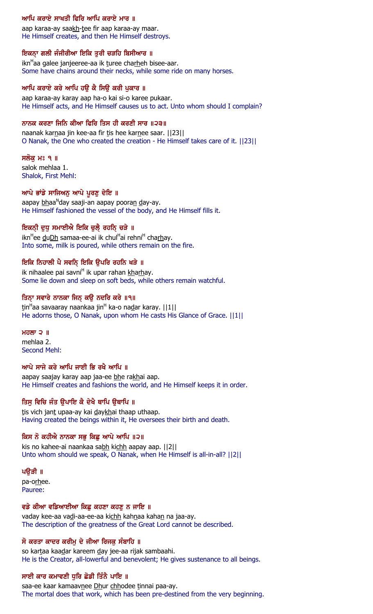# ਆਪਿ ਕਰਾਏ ਸਾਖਤੀ ਫਿਰਿ ਆਪਿ ਕਰਾਏ ਮਾਰ ॥

aap karaa-ay saakh-tee fir aap karaa-ay maar. He Himself creates, and then He Himself destroys.

# ਇਕਨਾ ਗਲੀ ਜੰਜੀਰੀਆ ਇਕਿ ਤੁਰੀ ਚੜਹਿ ਬਿਸੀਆਰ ॥

ikn<sup>H</sup>aa galee janjeeree-aa ik <u>t</u>uree cha<u>rh</u>eh bisee-aar. Some have chains around their necks, while some ride on many horses.

### ਆਪਿ ਕਰਾਏ ਕਰੇ ਆਪਿ ਹਉ ਕੈ ਸਿਉ ਕਰੀ ਪੁਕਾਰ ॥

aap karaa-ay karay aap ha-o kai si-o karee pukaar. He Himself acts, and He Himself causes us to act. Unto whom should I complain?

### ਨਾਨਕ ਕਰਣਾ ਜਿਨਿ ਕੀਆ ਫਿਰਿ ਤਿਸ ਹੀ ਕਰਣੀ ਸਾਰ ॥੨੩॥

naanak karnaa jin kee-aa fir tis hee karnee saar. ||23|| O Nanak, the One who created the creation - He Himself takes care of it. ||23||

### ਸਲੱਕ ਮਃ ੧ ॥

salok mehlaa 1. Shalok, First Mehl:

### ਆਪੇ ਭਾਂਡੇ ਸਾਜਿਅਨੂ ਆਪੇ ਪੂਰਣੂ ਦੇਇ ॥

aapay <u>bh</u>aa<sup>n</sup>day saaji-an aapay poora<u>n d</u>ay-ay. He Himself fashioned the vessel of the body, and He Himself fills it.

# ਇਕਨੀ ਦੁਧੁ ਸਮਾਈਐ ਇਕਿ ਚੁਲੈ਼ ਰਹਨਿ੍ ਚੜੇ ॥

ikn<sup>H</sup>ee <u>duDh</u> samaa-ee-ai ik chul<sup>H</sup>ai rehni<sup>H</sup> cha<u>rh</u>ay. Into some, milk is poured, while others remain on the fire.

# ਇਕਿ ਨਿਹਾਲੀ ਪੈ ਸਵਨਿ ਇਕਿ ਉਪਰਿ ਰਹਨਿ ਖੜੇ ॥

ik nihaalee pai savni<sup>H</sup> ik upar rahan kharhay. Some lie down and sleep on soft beds, while others remain watchful.

### ਤਿਨ੍ਹਾ ਸਵਾਰੇ ਨਾਨਕਾ ਜਿਨ੍ਹ ਕਉ ਨਦਰਿ ਕਰੇ ॥੧॥

<u>t</u>in<sup>H</sup>aa savaaray naankaa jin<sup>H</sup> ka-o na<u>d</u>ar karay. ||1|| He adorns those, O Nanak, upon whom He casts His Glance of Grace.  $||1||$ 

### $H$ ਹਲਾ ੨  $\parallel$

mehlaa 2. Second Mehl:

### ਆਪੇ ਸਾਜੇ ਕਰੇ ਆਪਿ ਜਾਈ ਕਿ ਰਖੈ ਆਪਿ ॥

aapay saajay karay aap jaa-ee bhe rakhai aap. He Himself creates and fashions the world, and He Himself keeps it in order.

# ਤਿਸੁ ਵਿਚਿ ਜੰਤ ਉਪਾਇ ਕੈ ਦੇਖੈ ਥਾਪਿ ਉਥਾਪਿ ॥

tis vich jant upaa-ay kai daykhai thaap uthaap. Having created the beings within it, He oversees their birth and death.

# ਕਿਸ ਨੋ ਕਹੀਐ ਨਾਨਕਾ ਸਭੁ ਕਿਛੁ ਆਪੇ ਆਪਿ ॥੨॥

kis no kahee-ai naankaa sabh kichh aapay aap. ||2|| Unto whom should we speak, O Nanak, when He Himself is all-in-all? ||2||

### ਪਉੜੀ ॥

pa-orhee. Pauree:

### ਵਡੇ ਕੀਆ ਵਡਿਆਈਆ ਕਿਛੂ ਕਹਣਾ ਕਹਣੂ ਨ ਜਾਇ ॥

vaday kee-aa vadi-aa-ee-aa kichh kahnaa kahan na jaa-ay. The description of the greatness of the Great Lord cannot be described.

### ਸੋ ਕਰਤਾ ਕਾਦਰ ਕਰੀਮ ਦੇ ਜੀਆ ਰਿਜਕ ਸੰਬਾਹਿ ॥

so kartaa kaadar kareem day jee-aa rijak sambaahi. He is the Creator, all-lowerful and benevolent; He gives sustenance to all beings.

# ਸਾਈ ਕਾਰ ਕਮਾਵਣੀ ਧਰਿ ਛੋਡੀ ਤਿੰਨੈ ਪਾਇ ॥

saa-ee kaar kamaavnee Dhur chhodee tinnai paa-ay. The mortal does that work, which has been pre-destined from the very beginning.